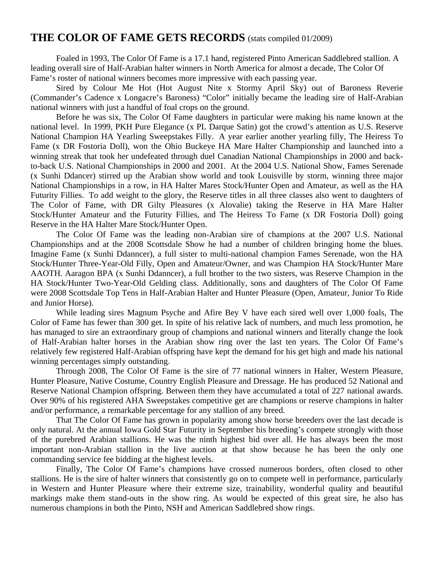### **THE COLOR OF FAME GETS RECORDS** (stats compiled 01/2009)

Foaled in 1993, The Color Of Fame is a 17.1 hand, registered Pinto American Saddlebred stallion. A leading overall sire of Half-Arabian halter winners in North America for almost a decade, The Color Of Fame's roster of national winners becomes more impressive with each passing year.

Sired by Colour Me Hot (Hot August Nite x Stormy April Sky) out of Baroness Reverie (Commander's Cadence x Longacre's Baroness) "Color" initially became the leading sire of Half-Arabian national winners with just a handful of foal crops on the ground.

Before he was six, The Color Of Fame daughters in particular were making his name known at the national level. In 1999, PKH Pure Elegance (x PL Darque Satin) got the crowd's attention as U.S. Reserve National Champion HA Yearling Sweepstakes Filly. A year earlier another yearling filly, The Heiress To Fame (x DR Fostoria Doll), won the Ohio Buckeye HA Mare Halter Championship and launched into a winning streak that took her undefeated through duel Canadian National Championships in 2000 and backto-back U.S. National Championships in 2000 and 2001. At the 2004 U.S. National Show, Fames Serenade (x Sunhi Ddancer) stirred up the Arabian show world and took Louisville by storm, winning three major National Championships in a row, in HA Halter Mares Stock/Hunter Open and Amateur, as well as the HA Futurity Fillies. To add weight to the glory, the Reserve titles in all three classes also went to daughters of The Color of Fame, with DR Gilty Pleasures (x Alovalie) taking the Reserve in HA Mare Halter Stock/Hunter Amateur and the Futurity Fillies, and The Heiress To Fame (x DR Fostoria Doll) going Reserve in the HA Halter Mare Stock/Hunter Open.

 The Color Of Fame was the leading non-Arabian sire of champions at the 2007 U.S. National Championships and at the 2008 Scottsdale Show he had a number of children bringing home the blues. Imagine Fame (x Sunhi Ddanncer), a full sister to multi-national champion Fames Serenade, won the HA Stock/Hunter Three-Year-Old Filly, Open and Amateur/Owner, and was Champion HA Stock/Hunter Mare AAOTH. Aaragon BPA (x Sunhi Ddanncer), a full brother to the two sisters, was Reserve Champion in the HA Stock/Hunter Two-Year-Old Gelding class. Additionally, sons and daughters of The Color Of Fame were 2008 Scottsdale Top Tens in Half-Arabian Halter and Hunter Pleasure (Open, Amateur, Junior To Ride and Junior Horse).

While leading sires Magnum Psyche and Afire Bey V have each sired well over 1,000 foals, The Color of Fame has fewer than 300 get. In spite of his relative lack of numbers, and much less promotion, he has managed to sire an extraordinary group of champions and national winners and literally change the look of Half-Arabian halter horses in the Arabian show ring over the last ten years. The Color Of Fame's relatively few registered Half-Arabian offspring have kept the demand for his get high and made his national winning percentages simply outstanding.

Through 2008, The Color Of Fame is the sire of 77 national winners in Halter, Western Pleasure, Hunter Pleasure, Native Costume, Country English Pleasure and Dressage. He has produced 52 National and Reserve National Champion offspring. Between them they have accumulated a total of 227 national awards. Over 90% of his registered AHA Sweepstakes competitive get are champions or reserve champions in halter and/or performance, a remarkable percentage for any stallion of any breed.

 That The Color Of Fame has grown in popularity among show horse breeders over the last decade is only natural. At the annual Iowa Gold Star Futurity in September his breeding's compete strongly with those of the purebred Arabian stallions. He was the ninth highest bid over all. He has always been the most important non-Arabian stallion in the live auction at that show because he has been the only one commanding service fee bidding at the highest levels.

Finally, The Color Of Fame's champions have crossed numerous borders, often closed to other stallions. He is the sire of halter winners that consistently go on to compete well in performance, particularly in Western and Hunter Pleasure where their extreme size, trainability, wonderful quality and beautiful markings make them stand-outs in the show ring. As would be expected of this great sire, he also has numerous champions in both the Pinto, NSH and American Saddlebred show rings.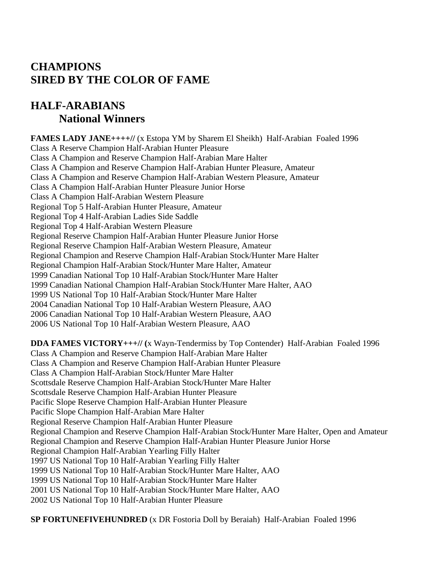## **CHAMPIONS SIRED BY THE COLOR OF FAME**

## **HALF-ARABIANS National Winners**

**FAMES LADY JANE++++//** (x Estopa YM by Sharem El Sheikh) Half-Arabian Foaled 1996 Class A Reserve Champion Half-Arabian Hunter Pleasure Class A Champion and Reserve Champion Half-Arabian Mare Halter Class A Champion and Reserve Champion Half-Arabian Hunter Pleasure, Amateur Class A Champion and Reserve Champion Half-Arabian Western Pleasure, Amateur Class A Champion Half-Arabian Hunter Pleasure Junior Horse Class A Champion Half-Arabian Western Pleasure Regional Top 5 Half-Arabian Hunter Pleasure, Amateur Regional Top 4 Half-Arabian Ladies Side Saddle Regional Top 4 Half-Arabian Western Pleasure Regional Reserve Champion Half-Arabian Hunter Pleasure Junior Horse Regional Reserve Champion Half-Arabian Western Pleasure, Amateur Regional Champion and Reserve Champion Half-Arabian Stock/Hunter Mare Halter Regional Champion Half-Arabian Stock/Hunter Mare Halter, Amateur 1999 Canadian National Top 10 Half-Arabian Stock/Hunter Mare Halter 1999 Canadian National Champion Half-Arabian Stock/Hunter Mare Halter, AAO 1999 US National Top 10 Half-Arabian Stock/Hunter Mare Halter 2004 Canadian National Top 10 Half-Arabian Western Pleasure, AAO 2006 Canadian National Top 10 Half-Arabian Western Pleasure, AAO 2006 US National Top 10 Half-Arabian Western Pleasure, AAO

**DDA FAMES VICTORY+++// (**x Wayn-Tendermiss by Top Contender) Half-Arabian Foaled 1996 Class A Champion and Reserve Champion Half-Arabian Mare Halter Class A Champion and Reserve Champion Half-Arabian Hunter Pleasure Class A Champion Half-Arabian Stock/Hunter Mare Halter Scottsdale Reserve Champion Half-Arabian Stock/Hunter Mare Halter Scottsdale Reserve Champion Half-Arabian Hunter Pleasure Pacific Slope Reserve Champion Half-Arabian Hunter Pleasure Pacific Slope Champion Half-Arabian Mare Halter Regional Reserve Champion Half-Arabian Hunter Pleasure Regional Champion and Reserve Champion Half-Arabian Stock/Hunter Mare Halter, Open and Amateur Regional Champion and Reserve Champion Half-Arabian Hunter Pleasure Junior Horse Regional Champion Half-Arabian Yearling Filly Halter 1997 US National Top 10 Half-Arabian Yearling Filly Halter 1999 US National Top 10 Half-Arabian Stock/Hunter Mare Halter, AAO 1999 US National Top 10 Half-Arabian Stock/Hunter Mare Halter 2001 US National Top 10 Half-Arabian Stock/Hunter Mare Halter, AAO 2002 US National Top 10 Half-Arabian Hunter Pleasure

**SP FORTUNEFIVEHUNDRED** (x DR Fostoria Doll by Beraiah) Half-Arabian Foaled 1996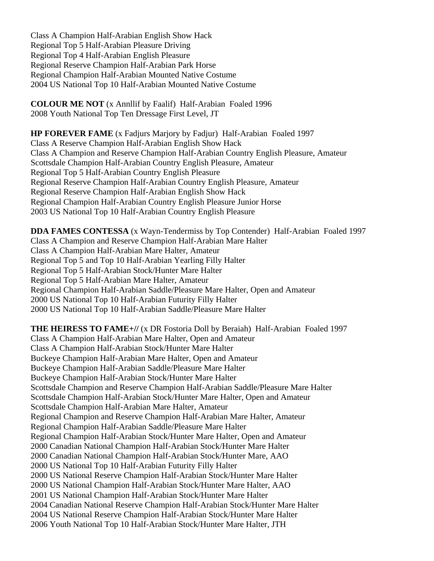Class A Champion Half-Arabian English Show Hack Regional Top 5 Half-Arabian Pleasure Driving Regional Top 4 Half-Arabian English Pleasure Regional Reserve Champion Half-Arabian Park Horse Regional Champion Half-Arabian Mounted Native Costume 2004 US National Top 10 Half-Arabian Mounted Native Costume

**COLOUR ME NOT** (x Annllif by Faalif) Half-Arabian Foaled 1996 2008 Youth National Top Ten Dressage First Level, JT

**HP FOREVER FAME** (x Fadjurs Marjory by Fadjur) Half-Arabian Foaled 1997 Class A Reserve Champion Half-Arabian English Show Hack Class A Champion and Reserve Champion Half-Arabian Country English Pleasure, Amateur Scottsdale Champion Half-Arabian Country English Pleasure, Amateur Regional Top 5 Half-Arabian Country English Pleasure Regional Reserve Champion Half-Arabian Country English Pleasure, Amateur Regional Reserve Champion Half-Arabian English Show Hack Regional Champion Half-Arabian Country English Pleasure Junior Horse 2003 US National Top 10 Half-Arabian Country English Pleasure

**DDA FAMES CONTESSA** (x Wayn-Tendermiss by Top Contender) Half-Arabian Foaled 1997 Class A Champion and Reserve Champion Half-Arabian Mare Halter Class A Champion Half-Arabian Mare Halter, Amateur Regional Top 5 and Top 10 Half-Arabian Yearling Filly Halter Regional Top 5 Half-Arabian Stock/Hunter Mare Halter Regional Top 5 Half-Arabian Mare Halter, Amateur Regional Champion Half-Arabian Saddle/Pleasure Mare Halter, Open and Amateur 2000 US National Top 10 Half-Arabian Futurity Filly Halter 2000 US National Top 10 Half-Arabian Saddle/Pleasure Mare Halter

**THE HEIRESS TO FAME+//** (x DR Fostoria Doll by Beraiah) Half-Arabian Foaled 1997 Class A Champion Half-Arabian Mare Halter, Open and Amateur Class A Champion Half-Arabian Stock/Hunter Mare Halter Buckeye Champion Half-Arabian Mare Halter, Open and Amateur Buckeye Champion Half-Arabian Saddle/Pleasure Mare Halter Buckeye Champion Half-Arabian Stock/Hunter Mare Halter Scottsdale Champion and Reserve Champion Half-Arabian Saddle/Pleasure Mare Halter Scottsdale Champion Half-Arabian Stock/Hunter Mare Halter, Open and Amateur Scottsdale Champion Half-Arabian Mare Halter, Amateur Regional Champion and Reserve Champion Half-Arabian Mare Halter, Amateur Regional Champion Half-Arabian Saddle/Pleasure Mare Halter Regional Champion Half-Arabian Stock/Hunter Mare Halter, Open and Amateur 2000 Canadian National Champion Half-Arabian Stock/Hunter Mare Halter 2000 Canadian National Champion Half-Arabian Stock/Hunter Mare, AAO 2000 US National Top 10 Half-Arabian Futurity Filly Halter 2000 US National Reserve Champion Half-Arabian Stock/Hunter Mare Halter 2000 US National Champion Half-Arabian Stock/Hunter Mare Halter, AAO 2001 US National Champion Half-Arabian Stock/Hunter Mare Halter 2004 Canadian National Reserve Champion Half-Arabian Stock/Hunter Mare Halter 2004 US National Reserve Champion Half-Arabian Stock/Hunter Mare Halter 2006 Youth National Top 10 Half-Arabian Stock/Hunter Mare Halter, JTH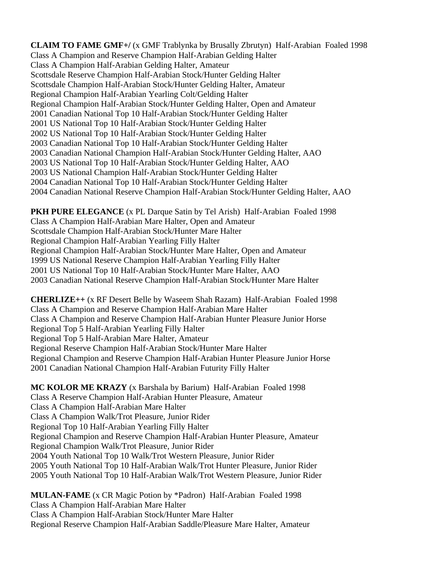**CLAIM TO FAME GMF+/** (x GMF Trablynka by Brusally Zbrutyn) Half-Arabian Foaled 1998 Class A Champion and Reserve Champion Half-Arabian Gelding Halter Class A Champion Half-Arabian Gelding Halter, Amateur Scottsdale Reserve Champion Half-Arabian Stock/Hunter Gelding Halter Scottsdale Champion Half-Arabian Stock/Hunter Gelding Halter, Amateur Regional Champion Half-Arabian Yearling Colt/Gelding Halter Regional Champion Half-Arabian Stock/Hunter Gelding Halter, Open and Amateur 2001 Canadian National Top 10 Half-Arabian Stock/Hunter Gelding Halter 2001 US National Top 10 Half-Arabian Stock/Hunter Gelding Halter 2002 US National Top 10 Half-Arabian Stock/Hunter Gelding Halter 2003 Canadian National Top 10 Half-Arabian Stock/Hunter Gelding Halter 2003 Canadian National Champion Half-Arabian Stock/Hunter Gelding Halter, AAO 2003 US National Top 10 Half-Arabian Stock/Hunter Gelding Halter, AAO 2003 US National Champion Half-Arabian Stock/Hunter Gelding Halter 2004 Canadian National Top 10 Half-Arabian Stock/Hunter Gelding Halter 2004 Canadian National Reserve Champion Half-Arabian Stock/Hunter Gelding Halter, AAO

**PKH PURE ELEGANCE** (x PL Darque Satin by Tel Arish) Half-Arabian Foaled 1998 Class A Champion Half-Arabian Mare Halter, Open and Amateur Scottsdale Champion Half-Arabian Stock/Hunter Mare Halter Regional Champion Half-Arabian Yearling Filly Halter Regional Champion Half-Arabian Stock/Hunter Mare Halter, Open and Amateur 1999 US National Reserve Champion Half-Arabian Yearling Filly Halter 2001 US National Top 10 Half-Arabian Stock/Hunter Mare Halter, AAO 2003 Canadian National Reserve Champion Half-Arabian Stock/Hunter Mare Halter

**CHERLIZE++** (x RF Desert Belle by Waseem Shah Razam) Half-Arabian Foaled 1998 Class A Champion and Reserve Champion Half-Arabian Mare Halter Class A Champion and Reserve Champion Half-Arabian Hunter Pleasure Junior Horse Regional Top 5 Half-Arabian Yearling Filly Halter Regional Top 5 Half-Arabian Mare Halter, Amateur Regional Reserve Champion Half-Arabian Stock/Hunter Mare Halter Regional Champion and Reserve Champion Half-Arabian Hunter Pleasure Junior Horse 2001 Canadian National Champion Half-Arabian Futurity Filly Halter

**MC KOLOR ME KRAZY** (x Barshala by Barium) Half-Arabian Foaled 1998 Class A Reserve Champion Half-Arabian Hunter Pleasure, Amateur Class A Champion Half-Arabian Mare Halter Class A Champion Walk/Trot Pleasure, Junior Rider Regional Top 10 Half-Arabian Yearling Filly Halter Regional Champion and Reserve Champion Half-Arabian Hunter Pleasure, Amateur Regional Champion Walk/Trot Pleasure, Junior Rider 2004 Youth National Top 10 Walk/Trot Western Pleasure, Junior Rider 2005 Youth National Top 10 Half-Arabian Walk/Trot Hunter Pleasure, Junior Rider 2005 Youth National Top 10 Half-Arabian Walk/Trot Western Pleasure, Junior Rider

**MULAN-FAME** (x CR Magic Potion by \*Padron) Half-Arabian Foaled 1998 Class A Champion Half-Arabian Mare Halter Class A Champion Half-Arabian Stock/Hunter Mare Halter Regional Reserve Champion Half-Arabian Saddle/Pleasure Mare Halter, Amateur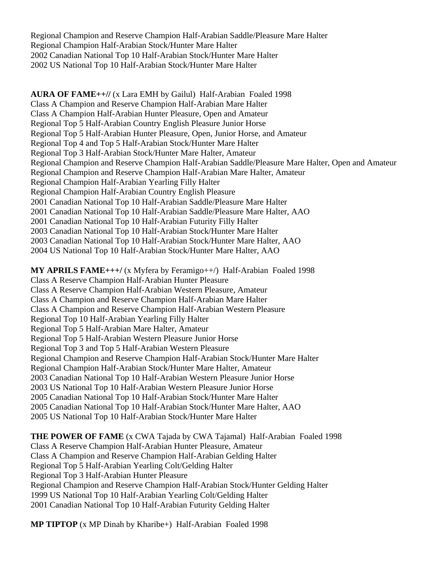Regional Champion and Reserve Champion Half-Arabian Saddle/Pleasure Mare Halter Regional Champion Half-Arabian Stock/Hunter Mare Halter 2002 Canadian National Top 10 Half-Arabian Stock/Hunter Mare Halter 2002 US National Top 10 Half-Arabian Stock/Hunter Mare Halter

**AURA OF FAME++//** (x Lara EMH by Gailul) Half-Arabian Foaled 1998 Class A Champion and Reserve Champion Half-Arabian Mare Halter Class A Champion Half-Arabian Hunter Pleasure, Open and Amateur Regional Top 5 Half-Arabian Country English Pleasure Junior Horse Regional Top 5 Half-Arabian Hunter Pleasure, Open, Junior Horse, and Amateur Regional Top 4 and Top 5 Half-Arabian Stock/Hunter Mare Halter Regional Top 3 Half-Arabian Stock/Hunter Mare Halter, Amateur Regional Champion and Reserve Champion Half-Arabian Saddle/Pleasure Mare Halter, Open and Amateur Regional Champion and Reserve Champion Half-Arabian Mare Halter, Amateur Regional Champion Half-Arabian Yearling Filly Halter Regional Champion Half-Arabian Country English Pleasure 2001 Canadian National Top 10 Half-Arabian Saddle/Pleasure Mare Halter 2001 Canadian National Top 10 Half-Arabian Saddle/Pleasure Mare Halter, AAO 2001 Canadian National Top 10 Half-Arabian Futurity Filly Halter 2003 Canadian National Top 10 Half-Arabian Stock/Hunter Mare Halter 2003 Canadian National Top 10 Half-Arabian Stock/Hunter Mare Halter, AAO 2004 US National Top 10 Half-Arabian Stock/Hunter Mare Halter, AAO

**MY APRILS FAME+++/** (x Myfera by Feramigo++/) Half-Arabian Foaled 1998 Class A Reserve Champion Half-Arabian Hunter Pleasure Class A Reserve Champion Half-Arabian Western Pleasure, Amateur Class A Champion and Reserve Champion Half-Arabian Mare Halter Class A Champion and Reserve Champion Half-Arabian Western Pleasure Regional Top 10 Half-Arabian Yearling Filly Halter Regional Top 5 Half-Arabian Mare Halter, Amateur Regional Top 5 Half-Arabian Western Pleasure Junior Horse Regional Top 3 and Top 5 Half-Arabian Western Pleasure Regional Champion and Reserve Champion Half-Arabian Stock/Hunter Mare Halter Regional Champion Half-Arabian Stock/Hunter Mare Halter, Amateur 2003 Canadian National Top 10 Half-Arabian Western Pleasure Junior Horse 2003 US National Top 10 Half-Arabian Western Pleasure Junior Horse 2005 Canadian National Top 10 Half-Arabian Stock/Hunter Mare Halter 2005 Canadian National Top 10 Half-Arabian Stock/Hunter Mare Halter, AAO 2005 US National Top 10 Half-Arabian Stock/Hunter Mare Halter

**THE POWER OF FAME** (x CWA Tajada by CWA Tajamal) Half-Arabian Foaled 1998 Class A Reserve Champion Half-Arabian Hunter Pleasure, Amateur Class A Champion and Reserve Champion Half-Arabian Gelding Halter Regional Top 5 Half-Arabian Yearling Colt/Gelding Halter Regional Top 3 Half-Arabian Hunter Pleasure Regional Champion and Reserve Champion Half-Arabian Stock/Hunter Gelding Halter 1999 US National Top 10 Half-Arabian Yearling Colt/Gelding Halter 2001 Canadian National Top 10 Half-Arabian Futurity Gelding Halter

**MP TIPTOP** (x MP Dinah by Kharibe+) Half-Arabian Foaled 1998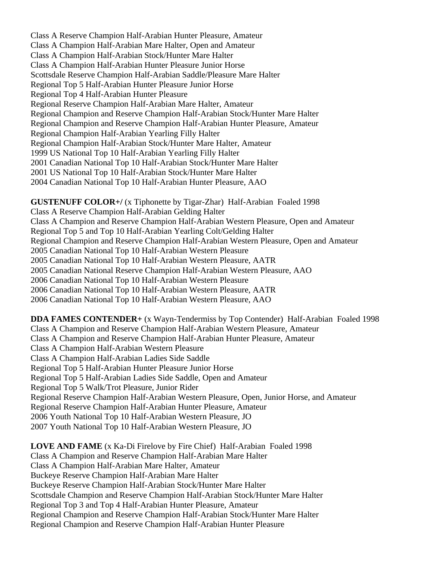Class A Reserve Champion Half-Arabian Hunter Pleasure, Amateur Class A Champion Half-Arabian Mare Halter, Open and Amateur Class A Champion Half-Arabian Stock/Hunter Mare Halter Class A Champion Half-Arabian Hunter Pleasure Junior Horse Scottsdale Reserve Champion Half-Arabian Saddle/Pleasure Mare Halter Regional Top 5 Half-Arabian Hunter Pleasure Junior Horse Regional Top 4 Half-Arabian Hunter Pleasure Regional Reserve Champion Half-Arabian Mare Halter, Amateur Regional Champion and Reserve Champion Half-Arabian Stock/Hunter Mare Halter Regional Champion and Reserve Champion Half-Arabian Hunter Pleasure, Amateur Regional Champion Half-Arabian Yearling Filly Halter Regional Champion Half-Arabian Stock/Hunter Mare Halter, Amateur 1999 US National Top 10 Half-Arabian Yearling Filly Halter 2001 Canadian National Top 10 Half-Arabian Stock/Hunter Mare Halter 2001 US National Top 10 Half-Arabian Stock/Hunter Mare Halter 2004 Canadian National Top 10 Half-Arabian Hunter Pleasure, AAO

**GUSTENUFF COLOR+/** (x Tiphonette by Tigar-Zhar) Half-Arabian Foaled 1998 Class A Reserve Champion Half-Arabian Gelding Halter Class A Champion and Reserve Champion Half-Arabian Western Pleasure, Open and Amateur Regional Top 5 and Top 10 Half-Arabian Yearling Colt/Gelding Halter Regional Champion and Reserve Champion Half-Arabian Western Pleasure, Open and Amateur 2005 Canadian National Top 10 Half-Arabian Western Pleasure 2005 Canadian National Top 10 Half-Arabian Western Pleasure, AATR 2005 Canadian National Reserve Champion Half-Arabian Western Pleasure, AAO 2006 Canadian National Top 10 Half-Arabian Western Pleasure 2006 Canadian National Top 10 Half-Arabian Western Pleasure, AATR 2006 Canadian National Top 10 Half-Arabian Western Pleasure, AAO

**DDA FAMES CONTENDER+** (x Wayn-Tendermiss by Top Contender) Half-Arabian Foaled 1998 Class A Champion and Reserve Champion Half-Arabian Western Pleasure, Amateur Class A Champion and Reserve Champion Half-Arabian Hunter Pleasure, Amateur Class A Champion Half-Arabian Western Pleasure Class A Champion Half-Arabian Ladies Side Saddle Regional Top 5 Half-Arabian Hunter Pleasure Junior Horse Regional Top 5 Half-Arabian Ladies Side Saddle, Open and Amateur Regional Top 5 Walk/Trot Pleasure, Junior Rider Regional Reserve Champion Half-Arabian Western Pleasure, Open, Junior Horse, and Amateur Regional Reserve Champion Half-Arabian Hunter Pleasure, Amateur 2006 Youth National Top 10 Half-Arabian Western Pleasure, JO 2007 Youth National Top 10 Half-Arabian Western Pleasure, JO

**LOVE AND FAME** (x Ka-Di Firelove by Fire Chief) Half-Arabian Foaled 1998 Class A Champion and Reserve Champion Half-Arabian Mare Halter Class A Champion Half-Arabian Mare Halter, Amateur Buckeye Reserve Champion Half-Arabian Mare Halter Buckeye Reserve Champion Half-Arabian Stock/Hunter Mare Halter Scottsdale Champion and Reserve Champion Half-Arabian Stock/Hunter Mare Halter Regional Top 3 and Top 4 Half-Arabian Hunter Pleasure, Amateur Regional Champion and Reserve Champion Half-Arabian Stock/Hunter Mare Halter Regional Champion and Reserve Champion Half-Arabian Hunter Pleasure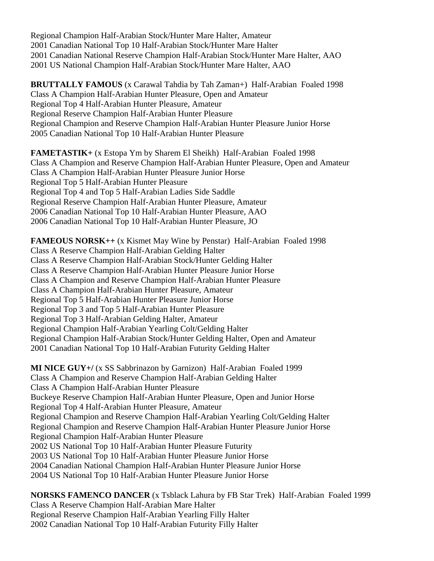Regional Champion Half-Arabian Stock/Hunter Mare Halter, Amateur 2001 Canadian National Top 10 Half-Arabian Stock/Hunter Mare Halter 2001 Canadian National Reserve Champion Half-Arabian Stock/Hunter Mare Halter, AAO 2001 US National Champion Half-Arabian Stock/Hunter Mare Halter, AAO

**BRUTTALLY FAMOUS** (x Carawal Tahdia by Tah Zaman+) Half-Arabian Foaled 1998 Class A Champion Half-Arabian Hunter Pleasure, Open and Amateur Regional Top 4 Half-Arabian Hunter Pleasure, Amateur Regional Reserve Champion Half-Arabian Hunter Pleasure Regional Champion and Reserve Champion Half-Arabian Hunter Pleasure Junior Horse 2005 Canadian National Top 10 Half-Arabian Hunter Pleasure

**FAMETASTIK+** (x Estopa Ym by Sharem El Sheikh) Half-Arabian Foaled 1998 Class A Champion and Reserve Champion Half-Arabian Hunter Pleasure, Open and Amateur Class A Champion Half-Arabian Hunter Pleasure Junior Horse Regional Top 5 Half-Arabian Hunter Pleasure Regional Top 4 and Top 5 Half-Arabian Ladies Side Saddle Regional Reserve Champion Half-Arabian Hunter Pleasure, Amateur 2006 Canadian National Top 10 Half-Arabian Hunter Pleasure, AAO 2006 Canadian National Top 10 Half-Arabian Hunter Pleasure, JO

**FAMEOUS NORSK++** (x Kismet May Wine by Penstar) Half-Arabian Foaled 1998 Class A Reserve Champion Half-Arabian Gelding Halter Class A Reserve Champion Half-Arabian Stock/Hunter Gelding Halter Class A Reserve Champion Half-Arabian Hunter Pleasure Junior Horse Class A Champion and Reserve Champion Half-Arabian Hunter Pleasure Class A Champion Half-Arabian Hunter Pleasure, Amateur Regional Top 5 Half-Arabian Hunter Pleasure Junior Horse Regional Top 3 and Top 5 Half-Arabian Hunter Pleasure Regional Top 3 Half-Arabian Gelding Halter, Amateur Regional Champion Half-Arabian Yearling Colt/Gelding Halter Regional Champion Half-Arabian Stock/Hunter Gelding Halter, Open and Amateur 2001 Canadian National Top 10 Half-Arabian Futurity Gelding Halter

**MI NICE GUY+/** (x SS Sabbrinazon by Garnizon) Half-Arabian Foaled 1999 Class A Champion and Reserve Champion Half-Arabian Gelding Halter Class A Champion Half-Arabian Hunter Pleasure Buckeye Reserve Champion Half-Arabian Hunter Pleasure, Open and Junior Horse Regional Top 4 Half-Arabian Hunter Pleasure, Amateur Regional Champion and Reserve Champion Half-Arabian Yearling Colt/Gelding Halter Regional Champion and Reserve Champion Half-Arabian Hunter Pleasure Junior Horse Regional Champion Half-Arabian Hunter Pleasure 2002 US National Top 10 Half-Arabian Hunter Pleasure Futurity 2003 US National Top 10 Half-Arabian Hunter Pleasure Junior Horse 2004 Canadian National Champion Half-Arabian Hunter Pleasure Junior Horse 2004 US National Top 10 Half-Arabian Hunter Pleasure Junior Horse

**NORSKS FAMENCO DANCER** (x Tsblack Lahura by FB Star Trek) Half-Arabian Foaled 1999 Class A Reserve Champion Half-Arabian Mare Halter Regional Reserve Champion Half-Arabian Yearling Filly Halter 2002 Canadian National Top 10 Half-Arabian Futurity Filly Halter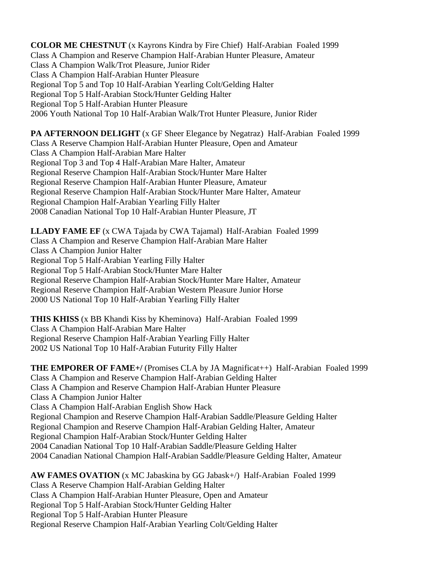**COLOR ME CHESTNUT** (x Kayrons Kindra by Fire Chief) Half-Arabian Foaled 1999 Class A Champion and Reserve Champion Half-Arabian Hunter Pleasure, Amateur Class A Champion Walk/Trot Pleasure, Junior Rider Class A Champion Half-Arabian Hunter Pleasure Regional Top 5 and Top 10 Half-Arabian Yearling Colt/Gelding Halter Regional Top 5 Half-Arabian Stock/Hunter Gelding Halter Regional Top 5 Half-Arabian Hunter Pleasure 2006 Youth National Top 10 Half-Arabian Walk/Trot Hunter Pleasure, Junior Rider

**PA AFTERNOON DELIGHT** (x GF Sheer Elegance by Negatraz) Half-Arabian Foaled 1999 Class A Reserve Champion Half-Arabian Hunter Pleasure, Open and Amateur Class A Champion Half-Arabian Mare Halter Regional Top 3 and Top 4 Half-Arabian Mare Halter, Amateur Regional Reserve Champion Half-Arabian Stock/Hunter Mare Halter Regional Reserve Champion Half-Arabian Hunter Pleasure, Amateur Regional Reserve Champion Half-Arabian Stock/Hunter Mare Halter, Amateur Regional Champion Half-Arabian Yearling Filly Halter 2008 Canadian National Top 10 Half-Arabian Hunter Pleasure, JT

**LLADY FAME EF** (x CWA Tajada by CWA Tajamal) Half-Arabian Foaled 1999 Class A Champion and Reserve Champion Half-Arabian Mare Halter Class A Champion Junior Halter Regional Top 5 Half-Arabian Yearling Filly Halter Regional Top 5 Half-Arabian Stock/Hunter Mare Halter Regional Reserve Champion Half-Arabian Stock/Hunter Mare Halter, Amateur Regional Reserve Champion Half-Arabian Western Pleasure Junior Horse 2000 US National Top 10 Half-Arabian Yearling Filly Halter

**THIS KHISS** (x BB Khandi Kiss by Kheminova) Half-Arabian Foaled 1999 Class A Champion Half-Arabian Mare Halter Regional Reserve Champion Half-Arabian Yearling Filly Halter 2002 US National Top 10 Half-Arabian Futurity Filly Halter

**THE EMPORER OF FAME+/** (Promises CLA by JA Magnificat++) Half-Arabian Foaled 1999 Class A Champion and Reserve Champion Half-Arabian Gelding Halter Class A Champion and Reserve Champion Half-Arabian Hunter Pleasure Class A Champion Junior Halter Class A Champion Half-Arabian English Show Hack Regional Champion and Reserve Champion Half-Arabian Saddle/Pleasure Gelding Halter Regional Champion and Reserve Champion Half-Arabian Gelding Halter, Amateur Regional Champion Half-Arabian Stock/Hunter Gelding Halter 2004 Canadian National Top 10 Half-Arabian Saddle/Pleasure Gelding Halter 2004 Canadian National Champion Half-Arabian Saddle/Pleasure Gelding Halter, Amateur

**AW FAMES OVATION** (x MC Jabaskina by GG Jabask+/) Half-Arabian Foaled 1999 Class A Reserve Champion Half-Arabian Gelding Halter Class A Champion Half-Arabian Hunter Pleasure, Open and Amateur Regional Top 5 Half-Arabian Stock/Hunter Gelding Halter Regional Top 5 Half-Arabian Hunter Pleasure Regional Reserve Champion Half-Arabian Yearling Colt/Gelding Halter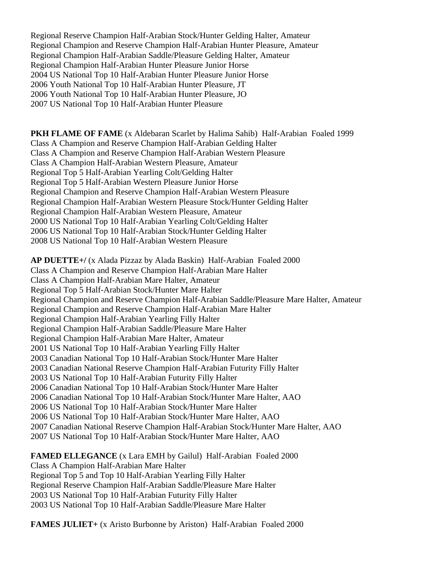Regional Reserve Champion Half-Arabian Stock/Hunter Gelding Halter, Amateur Regional Champion and Reserve Champion Half-Arabian Hunter Pleasure, Amateur Regional Champion Half-Arabian Saddle/Pleasure Gelding Halter, Amateur Regional Champion Half-Arabian Hunter Pleasure Junior Horse 2004 US National Top 10 Half-Arabian Hunter Pleasure Junior Horse 2006 Youth National Top 10 Half-Arabian Hunter Pleasure, JT 2006 Youth National Top 10 Half-Arabian Hunter Pleasure, JO 2007 US National Top 10 Half-Arabian Hunter Pleasure

**PKH FLAME OF FAME** (x Aldebaran Scarlet by Halima Sahib) Half-Arabian Foaled 1999 Class A Champion and Reserve Champion Half-Arabian Gelding Halter Class A Champion and Reserve Champion Half-Arabian Western Pleasure Class A Champion Half-Arabian Western Pleasure, Amateur Regional Top 5 Half-Arabian Yearling Colt/Gelding Halter Regional Top 5 Half-Arabian Western Pleasure Junior Horse Regional Champion and Reserve Champion Half-Arabian Western Pleasure Regional Champion Half-Arabian Western Pleasure Stock/Hunter Gelding Halter Regional Champion Half-Arabian Western Pleasure, Amateur 2000 US National Top 10 Half-Arabian Yearling Colt/Gelding Halter 2006 US National Top 10 Half-Arabian Stock/Hunter Gelding Halter 2008 US National Top 10 Half-Arabian Western Pleasure

**AP DUETTE+/** (x Alada Pizzaz by Alada Baskin) Half-Arabian Foaled 2000 Class A Champion and Reserve Champion Half-Arabian Mare Halter Class A Champion Half-Arabian Mare Halter, Amateur Regional Top 5 Half-Arabian Stock/Hunter Mare Halter Regional Champion and Reserve Champion Half-Arabian Saddle/Pleasure Mare Halter, Amateur Regional Champion and Reserve Champion Half-Arabian Mare Halter Regional Champion Half-Arabian Yearling Filly Halter Regional Champion Half-Arabian Saddle/Pleasure Mare Halter Regional Champion Half-Arabian Mare Halter, Amateur 2001 US National Top 10 Half-Arabian Yearling Filly Halter 2003 Canadian National Top 10 Half-Arabian Stock/Hunter Mare Halter 2003 Canadian National Reserve Champion Half-Arabian Futurity Filly Halter 2003 US National Top 10 Half-Arabian Futurity Filly Halter 2006 Canadian National Top 10 Half-Arabian Stock/Hunter Mare Halter 2006 Canadian National Top 10 Half-Arabian Stock/Hunter Mare Halter, AAO 2006 US National Top 10 Half-Arabian Stock/Hunter Mare Halter 2006 US National Top 10 Half-Arabian Stock/Hunter Mare Halter, AAO 2007 Canadian National Reserve Champion Half-Arabian Stock/Hunter Mare Halter, AAO 2007 US National Top 10 Half-Arabian Stock/Hunter Mare Halter, AAO

**FAMED ELLEGANCE** (x Lara EMH by Gailul) Half-Arabian Foaled 2000 Class A Champion Half-Arabian Mare Halter Regional Top 5 and Top 10 Half-Arabian Yearling Filly Halter Regional Reserve Champion Half-Arabian Saddle/Pleasure Mare Halter 2003 US National Top 10 Half-Arabian Futurity Filly Halter 2003 US National Top 10 Half-Arabian Saddle/Pleasure Mare Halter

**FAMES JULIET+** (x Aristo Burbonne by Ariston) Half-Arabian Foaled 2000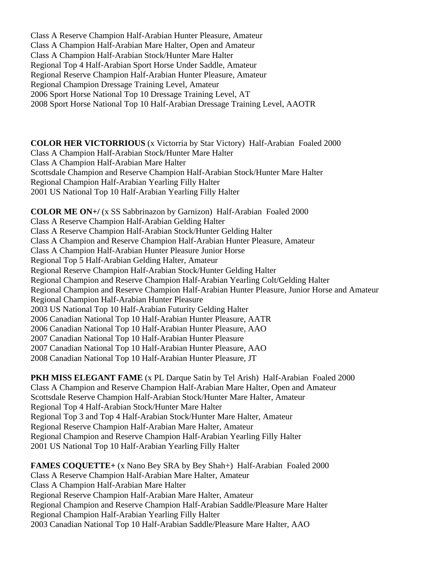Class A Reserve Champion Half-Arabian Hunter Pleasure, Amateur Class A Champion Half-Arabian Mare Halter, Open and Amateur Class A Champion Half-Arabian Stock/Hunter Mare Halter Regional Top 4 Half-Arabian Sport Horse Under Saddle, Amateur Regional Reserve Champion Half-Arabian Hunter Pleasure, Amateur Regional Champion Dressage Training Level, Amateur 2006 Sport Horse National Top 10 Dressage Training Level, AT 2008 Sport Horse National Top 10 Half-Arabian Dressage Training Level, AAOTR

**COLOR HER VICTORRIOUS** (x Victorria by Star Victory) Half-Arabian Foaled 2000 Class A Champion Half-Arabian Stock/Hunter Mare Halter Class A Champion Half-Arabian Mare Halter Scottsdale Champion and Reserve Champion Half-Arabian Stock/Hunter Mare Halter Regional Champion Half-Arabian Yearling Filly Halter 2001 US National Top 10 Half-Arabian Yearling Filly Halter

**COLOR ME ON+/** (x SS Sabbrinazon by Garnizon) Half-Arabian Foaled 2000 Class A Reserve Champion Half-Arabian Gelding Halter Class A Reserve Champion Half-Arabian Stock/Hunter Gelding Halter Class A Champion and Reserve Champion Half-Arabian Hunter Pleasure, Amateur Class A Champion Half-Arabian Hunter Pleasure Junior Horse Regional Top 5 Half-Arabian Gelding Halter, Amateur Regional Reserve Champion Half-Arabian Stock/Hunter Gelding Halter Regional Champion and Reserve Champion Half-Arabian Yearling Colt/Gelding Halter Regional Champion and Reserve Champion Half-Arabian Hunter Pleasure, Junior Horse and Amateur Regional Champion Half-Arabian Hunter Pleasure 2003 US National Top 10 Half-Arabian Futurity Gelding Halter 2006 Canadian National Top 10 Half-Arabian Hunter Pleasure, AATR 2006 Canadian National Top 10 Half-Arabian Hunter Pleasure, AAO 2007 Canadian National Top 10 Half-Arabian Hunter Pleasure 2007 Canadian National Top 10 Half-Arabian Hunter Pleasure, AAO 2008 Canadian National Top 10 Half-Arabian Hunter Pleasure, JT

**PKH MISS ELEGANT FAME** (x PL Darque Satin by Tel Arish) Half-Arabian Foaled 2000 Class A Champion and Reserve Champion Half-Arabian Mare Halter, Open and Amateur Scottsdale Reserve Champion Half-Arabian Stock/Hunter Mare Halter, Amateur Regional Top 4 Half-Arabian Stock/Hunter Mare Halter Regional Top 3 and Top 4 Half-Arabian Stock/Hunter Mare Halter, Amateur Regional Reserve Champion Half-Arabian Mare Halter, Amateur Regional Champion and Reserve Champion Half-Arabian Yearling Filly Halter 2001 US National Top 10 Half-Arabian Yearling Filly Halter

**FAMES COQUETTE+** (x Nano Bey SRA by Bey Shah+) Half-Arabian Foaled 2000 Class A Reserve Champion Half-Arabian Mare Halter, Amateur Class A Champion Half-Arabian Mare Halter Regional Reserve Champion Half-Arabian Mare Halter, Amateur Regional Champion and Reserve Champion Half-Arabian Saddle/Pleasure Mare Halter Regional Champion Half-Arabian Yearling Filly Halter 2003 Canadian National Top 10 Half-Arabian Saddle/Pleasure Mare Halter, AAO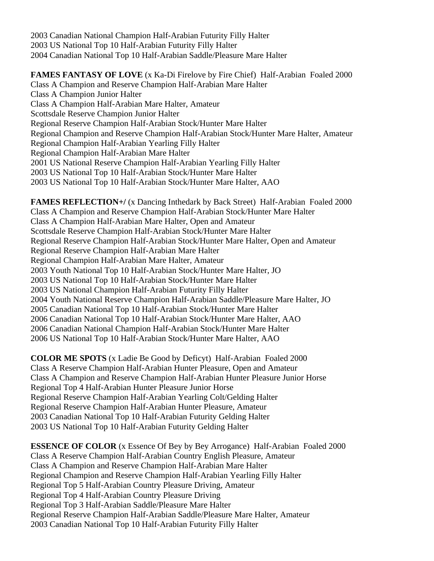2003 Canadian National Champion Half-Arabian Futurity Filly Halter 2003 US National Top 10 Half-Arabian Futurity Filly Halter 2004 Canadian National Top 10 Half-Arabian Saddle/Pleasure Mare Halter

**FAMES FANTASY OF LOVE** (x Ka-Di Firelove by Fire Chief) Half-Arabian Foaled 2000 Class A Champion and Reserve Champion Half-Arabian Mare Halter Class A Champion Junior Halter Class A Champion Half-Arabian Mare Halter, Amateur Scottsdale Reserve Champion Junior Halter Regional Reserve Champion Half-Arabian Stock/Hunter Mare Halter Regional Champion and Reserve Champion Half-Arabian Stock/Hunter Mare Halter, Amateur Regional Champion Half-Arabian Yearling Filly Halter Regional Champion Half-Arabian Mare Halter 2001 US National Reserve Champion Half-Arabian Yearling Filly Halter 2003 US National Top 10 Half-Arabian Stock/Hunter Mare Halter 2003 US National Top 10 Half-Arabian Stock/Hunter Mare Halter, AAO

**FAMES REFLECTION+/** (x Dancing Inthedark by Back Street) Half-Arabian Foaled 2000 Class A Champion and Reserve Champion Half-Arabian Stock/Hunter Mare Halter Class A Champion Half-Arabian Mare Halter, Open and Amateur Scottsdale Reserve Champion Half-Arabian Stock/Hunter Mare Halter Regional Reserve Champion Half-Arabian Stock/Hunter Mare Halter, Open and Amateur Regional Reserve Champion Half-Arabian Mare Halter Regional Champion Half-Arabian Mare Halter, Amateur 2003 Youth National Top 10 Half-Arabian Stock/Hunter Mare Halter, JO 2003 US National Top 10 Half-Arabian Stock/Hunter Mare Halter 2003 US National Champion Half-Arabian Futurity Filly Halter 2004 Youth National Reserve Champion Half-Arabian Saddle/Pleasure Mare Halter, JO 2005 Canadian National Top 10 Half-Arabian Stock/Hunter Mare Halter 2006 Canadian National Top 10 Half-Arabian Stock/Hunter Mare Halter, AAO 2006 Canadian National Champion Half-Arabian Stock/Hunter Mare Halter 2006 US National Top 10 Half-Arabian Stock/Hunter Mare Halter, AAO

**COLOR ME SPOTS** (x Ladie Be Good by Deficyt) Half-Arabian Foaled 2000 Class A Reserve Champion Half-Arabian Hunter Pleasure, Open and Amateur Class A Champion and Reserve Champion Half-Arabian Hunter Pleasure Junior Horse Regional Top 4 Half-Arabian Hunter Pleasure Junior Horse Regional Reserve Champion Half-Arabian Yearling Colt/Gelding Halter Regional Reserve Champion Half-Arabian Hunter Pleasure, Amateur 2003 Canadian National Top 10 Half-Arabian Futurity Gelding Halter 2003 US National Top 10 Half-Arabian Futurity Gelding Halter

**ESSENCE OF COLOR** (x Essence Of Bey by Bey Arrogance) Half-Arabian Foaled 2000 Class A Reserve Champion Half-Arabian Country English Pleasure, Amateur Class A Champion and Reserve Champion Half-Arabian Mare Halter Regional Champion and Reserve Champion Half-Arabian Yearling Filly Halter Regional Top 5 Half-Arabian Country Pleasure Driving, Amateur Regional Top 4 Half-Arabian Country Pleasure Driving Regional Top 3 Half-Arabian Saddle/Pleasure Mare Halter Regional Reserve Champion Half-Arabian Saddle/Pleasure Mare Halter, Amateur 2003 Canadian National Top 10 Half-Arabian Futurity Filly Halter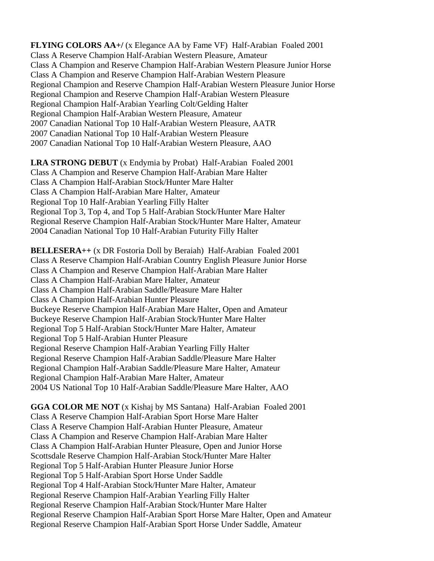**FLYING COLORS AA+/** (x Elegance AA by Fame VF) Half-Arabian Foaled 2001 Class A Reserve Champion Half-Arabian Western Pleasure, Amateur Class A Champion and Reserve Champion Half-Arabian Western Pleasure Junior Horse Class A Champion and Reserve Champion Half-Arabian Western Pleasure Regional Champion and Reserve Champion Half-Arabian Western Pleasure Junior Horse Regional Champion and Reserve Champion Half-Arabian Western Pleasure Regional Champion Half-Arabian Yearling Colt/Gelding Halter Regional Champion Half-Arabian Western Pleasure, Amateur 2007 Canadian National Top 10 Half-Arabian Western Pleasure, AATR 2007 Canadian National Top 10 Half-Arabian Western Pleasure 2007 Canadian National Top 10 Half-Arabian Western Pleasure, AAO

**LRA STRONG DEBUT** (x Endymia by Probat) Half-Arabian Foaled 2001 Class A Champion and Reserve Champion Half-Arabian Mare Halter Class A Champion Half-Arabian Stock/Hunter Mare Halter Class A Champion Half-Arabian Mare Halter, Amateur Regional Top 10 Half-Arabian Yearling Filly Halter Regional Top 3, Top 4, and Top 5 Half-Arabian Stock/Hunter Mare Halter Regional Reserve Champion Half-Arabian Stock/Hunter Mare Halter, Amateur 2004 Canadian National Top 10 Half-Arabian Futurity Filly Halter

**BELLESERA++** (x DR Fostoria Doll by Beraiah) Half-Arabian Foaled 2001 Class A Reserve Champion Half-Arabian Country English Pleasure Junior Horse Class A Champion and Reserve Champion Half-Arabian Mare Halter Class A Champion Half-Arabian Mare Halter, Amateur Class A Champion Half-Arabian Saddle/Pleasure Mare Halter Class A Champion Half-Arabian Hunter Pleasure Buckeye Reserve Champion Half-Arabian Mare Halter, Open and Amateur Buckeye Reserve Champion Half-Arabian Stock/Hunter Mare Halter Regional Top 5 Half-Arabian Stock/Hunter Mare Halter, Amateur Regional Top 5 Half-Arabian Hunter Pleasure Regional Reserve Champion Half-Arabian Yearling Filly Halter Regional Reserve Champion Half-Arabian Saddle/Pleasure Mare Halter Regional Champion Half-Arabian Saddle/Pleasure Mare Halter, Amateur Regional Champion Half-Arabian Mare Halter, Amateur 2004 US National Top 10 Half-Arabian Saddle/Pleasure Mare Halter, AAO

**GGA COLOR ME NOT** (x Kishaj by MS Santana) Half-Arabian Foaled 2001 Class A Reserve Champion Half-Arabian Sport Horse Mare Halter Class A Reserve Champion Half-Arabian Hunter Pleasure, Amateur Class A Champion and Reserve Champion Half-Arabian Mare Halter Class A Champion Half-Arabian Hunter Pleasure, Open and Junior Horse Scottsdale Reserve Champion Half-Arabian Stock/Hunter Mare Halter Regional Top 5 Half-Arabian Hunter Pleasure Junior Horse Regional Top 5 Half-Arabian Sport Horse Under Saddle Regional Top 4 Half-Arabian Stock/Hunter Mare Halter, Amateur Regional Reserve Champion Half-Arabian Yearling Filly Halter Regional Reserve Champion Half-Arabian Stock/Hunter Mare Halter Regional Reserve Champion Half-Arabian Sport Horse Mare Halter, Open and Amateur Regional Reserve Champion Half-Arabian Sport Horse Under Saddle, Amateur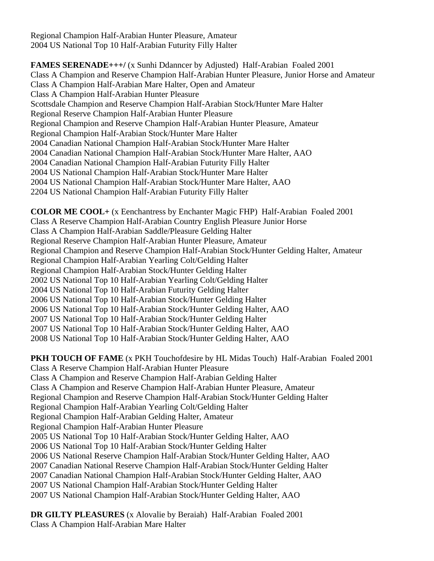Regional Champion Half-Arabian Hunter Pleasure, Amateur 2004 US National Top 10 Half-Arabian Futurity Filly Halter

**FAMES SERENADE+++/** (x Sunhi Ddanncer by Adjusted) Half-Arabian Foaled 2001 Class A Champion and Reserve Champion Half-Arabian Hunter Pleasure, Junior Horse and Amateur Class A Champion Half-Arabian Mare Halter, Open and Amateur Class A Champion Half-Arabian Hunter Pleasure Scottsdale Champion and Reserve Champion Half-Arabian Stock/Hunter Mare Halter Regional Reserve Champion Half-Arabian Hunter Pleasure Regional Champion and Reserve Champion Half-Arabian Hunter Pleasure, Amateur Regional Champion Half-Arabian Stock/Hunter Mare Halter 2004 Canadian National Champion Half-Arabian Stock/Hunter Mare Halter 2004 Canadian National Champion Half-Arabian Stock/Hunter Mare Halter, AAO 2004 Canadian National Champion Half-Arabian Futurity Filly Halter 2004 US National Champion Half-Arabian Stock/Hunter Mare Halter 2004 US National Champion Half-Arabian Stock/Hunter Mare Halter, AAO 2204 US National Champion Half-Arabian Futurity Filly Halter

**COLOR ME COOL+** (x Eenchantress by Enchanter Magic FHP) Half-Arabian Foaled 2001 Class A Reserve Champion Half-Arabian Country English Pleasure Junior Horse Class A Champion Half-Arabian Saddle/Pleasure Gelding Halter Regional Reserve Champion Half-Arabian Hunter Pleasure, Amateur Regional Champion and Reserve Champion Half-Arabian Stock/Hunter Gelding Halter, Amateur Regional Champion Half-Arabian Yearling Colt/Gelding Halter Regional Champion Half-Arabian Stock/Hunter Gelding Halter 2002 US National Top 10 Half-Arabian Yearling Colt/Gelding Halter 2004 US National Top 10 Half-Arabian Futurity Gelding Halter 2006 US National Top 10 Half-Arabian Stock/Hunter Gelding Halter 2006 US National Top 10 Half-Arabian Stock/Hunter Gelding Halter, AAO 2007 US National Top 10 Half-Arabian Stock/Hunter Gelding Halter 2007 US National Top 10 Half-Arabian Stock/Hunter Gelding Halter, AAO 2008 US National Top 10 Half-Arabian Stock/Hunter Gelding Halter, AAO

**PKH TOUCH OF FAME** (x PKH Touchofdesire by HL Midas Touch) Half-Arabian Foaled 2001 Class A Reserve Champion Half-Arabian Hunter Pleasure Class A Champion and Reserve Champion Half-Arabian Gelding Halter Class A Champion and Reserve Champion Half-Arabian Hunter Pleasure, Amateur Regional Champion and Reserve Champion Half-Arabian Stock/Hunter Gelding Halter Regional Champion Half-Arabian Yearling Colt/Gelding Halter Regional Champion Half-Arabian Gelding Halter, Amateur Regional Champion Half-Arabian Hunter Pleasure 2005 US National Top 10 Half-Arabian Stock/Hunter Gelding Halter, AAO 2006 US National Top 10 Half-Arabian Stock/Hunter Gelding Halter 2006 US National Reserve Champion Half-Arabian Stock/Hunter Gelding Halter, AAO 2007 Canadian National Reserve Champion Half-Arabian Stock/Hunter Gelding Halter 2007 Canadian National Champion Half-Arabian Stock/Hunter Gelding Halter, AAO 2007 US National Champion Half-Arabian Stock/Hunter Gelding Halter 2007 US National Champion Half-Arabian Stock/Hunter Gelding Halter, AAO

**DR GILTY PLEASURES** (x Alovalie by Beraiah) Half-Arabian Foaled 2001 Class A Champion Half-Arabian Mare Halter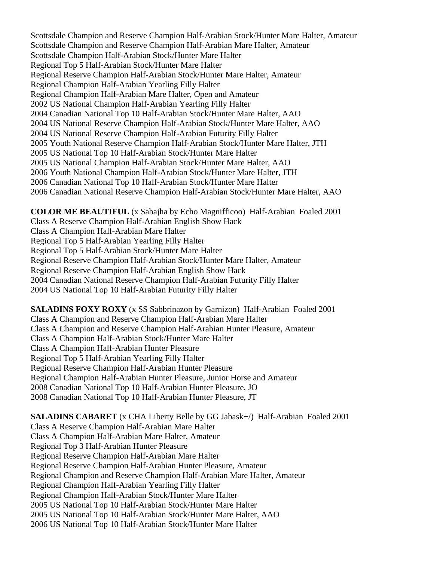Scottsdale Champion and Reserve Champion Half-Arabian Stock/Hunter Mare Halter, Amateur Scottsdale Champion and Reserve Champion Half-Arabian Mare Halter, Amateur Scottsdale Champion Half-Arabian Stock/Hunter Mare Halter Regional Top 5 Half-Arabian Stock/Hunter Mare Halter Regional Reserve Champion Half-Arabian Stock/Hunter Mare Halter, Amateur Regional Champion Half-Arabian Yearling Filly Halter Regional Champion Half-Arabian Mare Halter, Open and Amateur 2002 US National Champion Half-Arabian Yearling Filly Halter 2004 Canadian National Top 10 Half-Arabian Stock/Hunter Mare Halter, AAO 2004 US National Reserve Champion Half-Arabian Stock/Hunter Mare Halter, AAO 2004 US National Reserve Champion Half-Arabian Futurity Filly Halter 2005 Youth National Reserve Champion Half-Arabian Stock/Hunter Mare Halter, JTH 2005 US National Top 10 Half-Arabian Stock/Hunter Mare Halter 2005 US National Champion Half-Arabian Stock/Hunter Mare Halter, AAO 2006 Youth National Champion Half-Arabian Stock/Hunter Mare Halter, JTH 2006 Canadian National Top 10 Half-Arabian Stock/Hunter Mare Halter 2006 Canadian National Reserve Champion Half-Arabian Stock/Hunter Mare Halter, AAO

**COLOR ME BEAUTIFUL** (x Sabajha by Echo Magnifficoo) Half-Arabian Foaled 2001 Class A Reserve Champion Half-Arabian English Show Hack Class A Champion Half-Arabian Mare Halter Regional Top 5 Half-Arabian Yearling Filly Halter Regional Top 5 Half-Arabian Stock/Hunter Mare Halter Regional Reserve Champion Half-Arabian Stock/Hunter Mare Halter, Amateur Regional Reserve Champion Half-Arabian English Show Hack 2004 Canadian National Reserve Champion Half-Arabian Futurity Filly Halter 2004 US National Top 10 Half-Arabian Futurity Filly Halter

**SALADINS FOXY ROXY** (x SS Sabbrinazon by Garnizon) Half-Arabian Foaled 2001 Class A Champion and Reserve Champion Half-Arabian Mare Halter Class A Champion and Reserve Champion Half-Arabian Hunter Pleasure, Amateur Class A Champion Half-Arabian Stock/Hunter Mare Halter Class A Champion Half-Arabian Hunter Pleasure Regional Top 5 Half-Arabian Yearling Filly Halter Regional Reserve Champion Half-Arabian Hunter Pleasure Regional Champion Half-Arabian Hunter Pleasure, Junior Horse and Amateur 2008 Canadian National Top 10 Half-Arabian Hunter Pleasure, JO 2008 Canadian National Top 10 Half-Arabian Hunter Pleasure, JT

**SALADINS CABARET** (x CHA Liberty Belle by GG Jabask+/) Half-Arabian Foaled 2001 Class A Reserve Champion Half-Arabian Mare Halter Class A Champion Half-Arabian Mare Halter, Amateur Regional Top 3 Half-Arabian Hunter Pleasure Regional Reserve Champion Half-Arabian Mare Halter Regional Reserve Champion Half-Arabian Hunter Pleasure, Amateur Regional Champion and Reserve Champion Half-Arabian Mare Halter, Amateur Regional Champion Half-Arabian Yearling Filly Halter Regional Champion Half-Arabian Stock/Hunter Mare Halter 2005 US National Top 10 Half-Arabian Stock/Hunter Mare Halter 2005 US National Top 10 Half-Arabian Stock/Hunter Mare Halter, AAO 2006 US National Top 10 Half-Arabian Stock/Hunter Mare Halter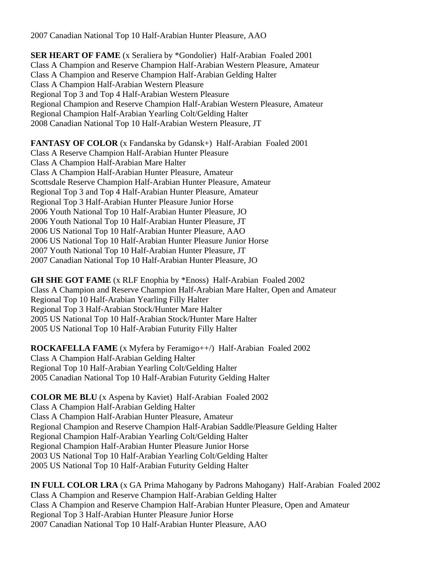2007 Canadian National Top 10 Half-Arabian Hunter Pleasure, AAO

**SER HEART OF FAME** (x Seraliera by \*Gondolier) Half-Arabian Foaled 2001 Class A Champion and Reserve Champion Half-Arabian Western Pleasure, Amateur Class A Champion and Reserve Champion Half-Arabian Gelding Halter Class A Champion Half-Arabian Western Pleasure Regional Top 3 and Top 4 Half-Arabian Western Pleasure Regional Champion and Reserve Champion Half-Arabian Western Pleasure, Amateur Regional Champion Half-Arabian Yearling Colt/Gelding Halter 2008 Canadian National Top 10 Half-Arabian Western Pleasure, JT

**FANTASY OF COLOR** (x Fandanska by Gdansk+) Half-Arabian Foaled 2001 Class A Reserve Champion Half-Arabian Hunter Pleasure Class A Champion Half-Arabian Mare Halter Class A Champion Half-Arabian Hunter Pleasure, Amateur Scottsdale Reserve Champion Half-Arabian Hunter Pleasure, Amateur Regional Top 3 and Top 4 Half-Arabian Hunter Pleasure, Amateur Regional Top 3 Half-Arabian Hunter Pleasure Junior Horse 2006 Youth National Top 10 Half-Arabian Hunter Pleasure, JO 2006 Youth National Top 10 Half-Arabian Hunter Pleasure, JT 2006 US National Top 10 Half-Arabian Hunter Pleasure, AAO 2006 US National Top 10 Half-Arabian Hunter Pleasure Junior Horse 2007 Youth National Top 10 Half-Arabian Hunter Pleasure, JT 2007 Canadian National Top 10 Half-Arabian Hunter Pleasure, JO

**GH SHE GOT FAME** (x RLF Enophia by \*Enoss) Half-Arabian Foaled 2002 Class A Champion and Reserve Champion Half-Arabian Mare Halter, Open and Amateur Regional Top 10 Half-Arabian Yearling Filly Halter Regional Top 3 Half-Arabian Stock/Hunter Mare Halter 2005 US National Top 10 Half-Arabian Stock/Hunter Mare Halter 2005 US National Top 10 Half-Arabian Futurity Filly Halter

**ROCKAFELLA FAME** (x Myfera by Feramigo++/) Half-Arabian Foaled 2002 Class A Champion Half-Arabian Gelding Halter Regional Top 10 Half-Arabian Yearling Colt/Gelding Halter 2005 Canadian National Top 10 Half-Arabian Futurity Gelding Halter

**COLOR ME BLU** (x Aspena by Kaviet) Half-Arabian Foaled 2002 Class A Champion Half-Arabian Gelding Halter Class A Champion Half-Arabian Hunter Pleasure, Amateur Regional Champion and Reserve Champion Half-Arabian Saddle/Pleasure Gelding Halter Regional Champion Half-Arabian Yearling Colt/Gelding Halter Regional Champion Half-Arabian Hunter Pleasure Junior Horse 2003 US National Top 10 Half-Arabian Yearling Colt/Gelding Halter 2005 US National Top 10 Half-Arabian Futurity Gelding Halter

**IN FULL COLOR LRA** (x GA Prima Mahogany by Padrons Mahogany) Half-Arabian Foaled 2002 Class A Champion and Reserve Champion Half-Arabian Gelding Halter Class A Champion and Reserve Champion Half-Arabian Hunter Pleasure, Open and Amateur Regional Top 3 Half-Arabian Hunter Pleasure Junior Horse 2007 Canadian National Top 10 Half-Arabian Hunter Pleasure, AAO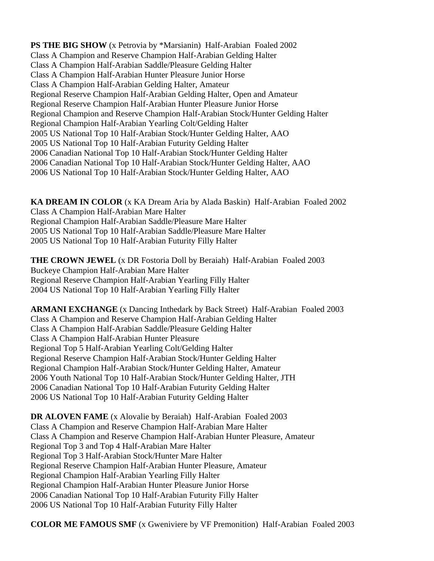**PS THE BIG SHOW** (x Petrovia by \*Marsianin) Half-Arabian Foaled 2002 Class A Champion and Reserve Champion Half-Arabian Gelding Halter Class A Champion Half-Arabian Saddle/Pleasure Gelding Halter Class A Champion Half-Arabian Hunter Pleasure Junior Horse Class A Champion Half-Arabian Gelding Halter, Amateur Regional Reserve Champion Half-Arabian Gelding Halter, Open and Amateur Regional Reserve Champion Half-Arabian Hunter Pleasure Junior Horse Regional Champion and Reserve Champion Half-Arabian Stock/Hunter Gelding Halter Regional Champion Half-Arabian Yearling Colt/Gelding Halter 2005 US National Top 10 Half-Arabian Stock/Hunter Gelding Halter, AAO 2005 US National Top 10 Half-Arabian Futurity Gelding Halter 2006 Canadian National Top 10 Half-Arabian Stock/Hunter Gelding Halter 2006 Canadian National Top 10 Half-Arabian Stock/Hunter Gelding Halter, AAO 2006 US National Top 10 Half-Arabian Stock/Hunter Gelding Halter, AAO

**KA DREAM IN COLOR** (x KA Dream Aria by Alada Baskin) Half-Arabian Foaled 2002 Class A Champion Half-Arabian Mare Halter Regional Champion Half-Arabian Saddle/Pleasure Mare Halter 2005 US National Top 10 Half-Arabian Saddle/Pleasure Mare Halter 2005 US National Top 10 Half-Arabian Futurity Filly Halter

**THE CROWN JEWEL** (x DR Fostoria Doll by Beraiah) Half-Arabian Foaled 2003 Buckeye Champion Half-Arabian Mare Halter Regional Reserve Champion Half-Arabian Yearling Filly Halter 2004 US National Top 10 Half-Arabian Yearling Filly Halter

**ARMANI EXCHANGE** (x Dancing Inthedark by Back Street) Half-Arabian Foaled 2003 Class A Champion and Reserve Champion Half-Arabian Gelding Halter Class A Champion Half-Arabian Saddle/Pleasure Gelding Halter Class A Champion Half-Arabian Hunter Pleasure Regional Top 5 Half-Arabian Yearling Colt/Gelding Halter Regional Reserve Champion Half-Arabian Stock/Hunter Gelding Halter Regional Champion Half-Arabian Stock/Hunter Gelding Halter, Amateur 2006 Youth National Top 10 Half-Arabian Stock/Hunter Gelding Halter, JTH 2006 Canadian National Top 10 Half-Arabian Futurity Gelding Halter 2006 US National Top 10 Half-Arabian Futurity Gelding Halter

**DR ALOVEN FAME** (x Alovalie by Beraiah) Half-Arabian Foaled 2003 Class A Champion and Reserve Champion Half-Arabian Mare Halter Class A Champion and Reserve Champion Half-Arabian Hunter Pleasure, Amateur Regional Top 3 and Top 4 Half-Arabian Mare Halter Regional Top 3 Half-Arabian Stock/Hunter Mare Halter Regional Reserve Champion Half-Arabian Hunter Pleasure, Amateur Regional Champion Half-Arabian Yearling Filly Halter Regional Champion Half-Arabian Hunter Pleasure Junior Horse 2006 Canadian National Top 10 Half-Arabian Futurity Filly Halter 2006 US National Top 10 Half-Arabian Futurity Filly Halter

**COLOR ME FAMOUS SMF** (x Gweniviere by VF Premonition) Half-Arabian Foaled 2003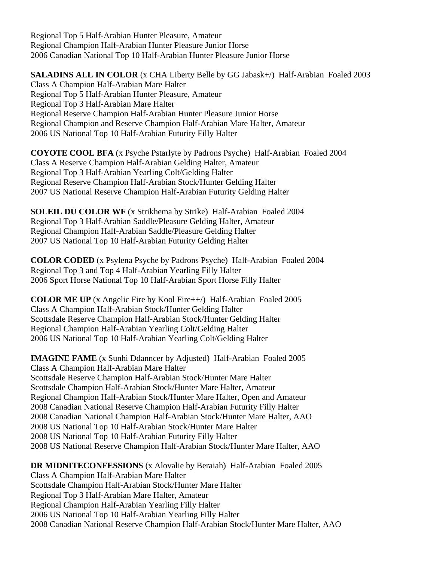Regional Top 5 Half-Arabian Hunter Pleasure, Amateur Regional Champion Half-Arabian Hunter Pleasure Junior Horse 2006 Canadian National Top 10 Half-Arabian Hunter Pleasure Junior Horse

#### **SALADINS ALL IN COLOR** (x CHA Liberty Belle by GG Jabask+/) Half-Arabian Foaled 2003

Class A Champion Half-Arabian Mare Halter Regional Top 5 Half-Arabian Hunter Pleasure, Amateur Regional Top 3 Half-Arabian Mare Halter Regional Reserve Champion Half-Arabian Hunter Pleasure Junior Horse Regional Champion and Reserve Champion Half-Arabian Mare Halter, Amateur 2006 US National Top 10 Half-Arabian Futurity Filly Halter

**COYOTE COOL BFA** (x Psyche Pstarlyte by Padrons Psyche) Half-Arabian Foaled 2004 Class A Reserve Champion Half-Arabian Gelding Halter, Amateur Regional Top 3 Half-Arabian Yearling Colt/Gelding Halter Regional Reserve Champion Half-Arabian Stock/Hunter Gelding Halter 2007 US National Reserve Champion Half-Arabian Futurity Gelding Halter

**SOLEIL DU COLOR WF** (x Strikhema by Strike) Half-Arabian Foaled 2004 Regional Top 3 Half-Arabian Saddle/Pleasure Gelding Halter, Amateur Regional Champion Half-Arabian Saddle/Pleasure Gelding Halter 2007 US National Top 10 Half-Arabian Futurity Gelding Halter

**COLOR CODED** (x Psylena Psyche by Padrons Psyche) Half-Arabian Foaled 2004 Regional Top 3 and Top 4 Half-Arabian Yearling Filly Halter 2006 Sport Horse National Top 10 Half-Arabian Sport Horse Filly Halter

**COLOR ME UP** (x Angelic Fire by Kool Fire++/) Half-Arabian Foaled 2005 Class A Champion Half-Arabian Stock/Hunter Gelding Halter Scottsdale Reserve Champion Half-Arabian Stock/Hunter Gelding Halter Regional Champion Half-Arabian Yearling Colt/Gelding Halter 2006 US National Top 10 Half-Arabian Yearling Colt/Gelding Halter

**IMAGINE FAME** (x Sunhi Ddanncer by Adjusted) Half-Arabian Foaled 2005 Class A Champion Half-Arabian Mare Halter Scottsdale Reserve Champion Half-Arabian Stock/Hunter Mare Halter Scottsdale Champion Half-Arabian Stock/Hunter Mare Halter, Amateur Regional Champion Half-Arabian Stock/Hunter Mare Halter, Open and Amateur 2008 Canadian National Reserve Champion Half-Arabian Futurity Filly Halter 2008 Canadian National Champion Half-Arabian Stock/Hunter Mare Halter, AAO 2008 US National Top 10 Half-Arabian Stock/Hunter Mare Halter 2008 US National Top 10 Half-Arabian Futurity Filly Halter 2008 US National Reserve Champion Half-Arabian Stock/Hunter Mare Halter, AAO

**DR MIDNITECONFESSIONS** (x Alovalie by Beraiah) Half-Arabian Foaled 2005 Class A Champion Half-Arabian Mare Halter Scottsdale Champion Half-Arabian Stock/Hunter Mare Halter Regional Top 3 Half-Arabian Mare Halter, Amateur Regional Champion Half-Arabian Yearling Filly Halter 2006 US National Top 10 Half-Arabian Yearling Filly Halter 2008 Canadian National Reserve Champion Half-Arabian Stock/Hunter Mare Halter, AAO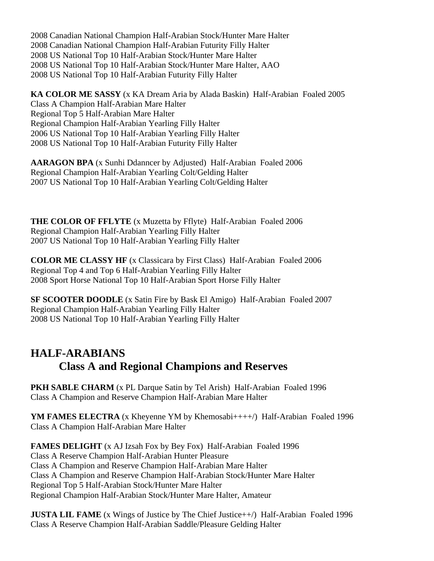2008 Canadian National Champion Half-Arabian Stock/Hunter Mare Halter 2008 Canadian National Champion Half-Arabian Futurity Filly Halter 2008 US National Top 10 Half-Arabian Stock/Hunter Mare Halter 2008 US National Top 10 Half-Arabian Stock/Hunter Mare Halter, AAO 2008 US National Top 10 Half-Arabian Futurity Filly Halter

**KA COLOR ME SASSY** (x KA Dream Aria by Alada Baskin) Half-Arabian Foaled 2005 Class A Champion Half-Arabian Mare Halter Regional Top 5 Half-Arabian Mare Halter Regional Champion Half-Arabian Yearling Filly Halter 2006 US National Top 10 Half-Arabian Yearling Filly Halter 2008 US National Top 10 Half-Arabian Futurity Filly Halter

**AARAGON BPA** (x Sunhi Ddanncer by Adjusted) Half-Arabian Foaled 2006 Regional Champion Half-Arabian Yearling Colt/Gelding Halter 2007 US National Top 10 Half-Arabian Yearling Colt/Gelding Halter

**THE COLOR OF FFLYTE** (x Muzetta by Fflyte) Half-Arabian Foaled 2006 Regional Champion Half-Arabian Yearling Filly Halter 2007 US National Top 10 Half-Arabian Yearling Filly Halter

**COLOR ME CLASSY HF** (x Classicara by First Class) Half-Arabian Foaled 2006 Regional Top 4 and Top 6 Half-Arabian Yearling Filly Halter 2008 Sport Horse National Top 10 Half-Arabian Sport Horse Filly Halter

**SF SCOOTER DOODLE** (x Satin Fire by Bask El Amigo) Half-Arabian Foaled 2007 Regional Champion Half-Arabian Yearling Filly Halter 2008 US National Top 10 Half-Arabian Yearling Filly Halter

# **HALF-ARABIANS Class A and Regional Champions and Reserves**

**PKH SABLE CHARM** (x PL Darque Satin by Tel Arish) Half-Arabian Foaled 1996 Class A Champion and Reserve Champion Half-Arabian Mare Halter

**YM FAMES ELECTRA** (x Kheyenne YM by Khemosabi++++/) Half-Arabian Foaled 1996 Class A Champion Half-Arabian Mare Halter

**FAMES DELIGHT** (x AJ Izsah Fox by Bey Fox) Half-Arabian Foaled 1996 Class A Reserve Champion Half-Arabian Hunter Pleasure Class A Champion and Reserve Champion Half-Arabian Mare Halter Class A Champion and Reserve Champion Half-Arabian Stock/Hunter Mare Halter Regional Top 5 Half-Arabian Stock/Hunter Mare Halter Regional Champion Half-Arabian Stock/Hunter Mare Halter, Amateur

**JUSTA LIL FAME** (x Wings of Justice by The Chief Justice++/) Half-Arabian Foaled 1996 Class A Reserve Champion Half-Arabian Saddle/Pleasure Gelding Halter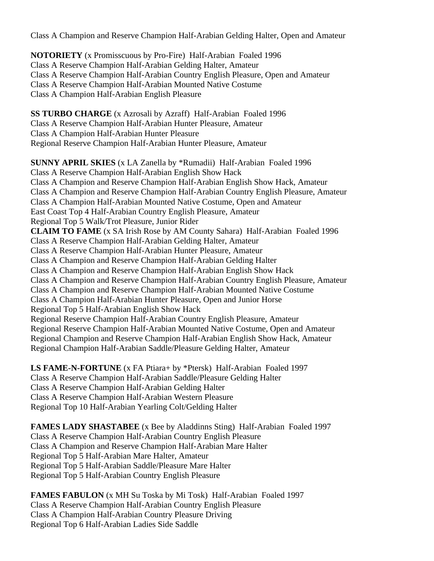Class A Champion and Reserve Champion Half-Arabian Gelding Halter, Open and Amateur

**NOTORIETY** (x Promisscuous by Pro-Fire) Half-Arabian Foaled 1996 Class A Reserve Champion Half-Arabian Gelding Halter, Amateur Class A Reserve Champion Half-Arabian Country English Pleasure, Open and Amateur Class A Reserve Champion Half-Arabian Mounted Native Costume Class A Champion Half-Arabian English Pleasure

**SS TURBO CHARGE** (x Azrosali by Azraff) Half-Arabian Foaled 1996 Class A Reserve Champion Half-Arabian Hunter Pleasure, Amateur Class A Champion Half-Arabian Hunter Pleasure Regional Reserve Champion Half-Arabian Hunter Pleasure, Amateur

**SUNNY APRIL SKIES** (x LA Zanella by \*Rumadii) Half-Arabian Foaled 1996 Class A Reserve Champion Half-Arabian English Show Hack Class A Champion and Reserve Champion Half-Arabian English Show Hack, Amateur Class A Champion and Reserve Champion Half-Arabian Country English Pleasure, Amateur Class A Champion Half-Arabian Mounted Native Costume, Open and Amateur East Coast Top 4 Half-Arabian Country English Pleasure, Amateur Regional Top 5 Walk/Trot Pleasure, Junior Rider **CLAIM TO FAME** (x SA Irish Rose by AM County Sahara) Half-Arabian Foaled 1996 Class A Reserve Champion Half-Arabian Gelding Halter, Amateur Class A Reserve Champion Half-Arabian Hunter Pleasure, Amateur Class A Champion and Reserve Champion Half-Arabian Gelding Halter Class A Champion and Reserve Champion Half-Arabian English Show Hack Class A Champion and Reserve Champion Half-Arabian Country English Pleasure, Amateur Class A Champion and Reserve Champion Half-Arabian Mounted Native Costume Class A Champion Half-Arabian Hunter Pleasure, Open and Junior Horse Regional Top 5 Half-Arabian English Show Hack Regional Reserve Champion Half-Arabian Country English Pleasure, Amateur Regional Reserve Champion Half-Arabian Mounted Native Costume, Open and Amateur Regional Champion and Reserve Champion Half-Arabian English Show Hack, Amateur Regional Champion Half-Arabian Saddle/Pleasure Gelding Halter, Amateur

**LS FAME-N-FORTUNE** (x FA Ptiara+ by \*Ptersk) Half-Arabian Foaled 1997 Class A Reserve Champion Half-Arabian Saddle/Pleasure Gelding Halter Class A Reserve Champion Half-Arabian Gelding Halter Class A Reserve Champion Half-Arabian Western Pleasure Regional Top 10 Half-Arabian Yearling Colt/Gelding Halter

**FAMES LADY SHASTABEE** (x Bee by Aladdinns Sting) Half-Arabian Foaled 1997 Class A Reserve Champion Half-Arabian Country English Pleasure Class A Champion and Reserve Champion Half-Arabian Mare Halter Regional Top 5 Half-Arabian Mare Halter, Amateur Regional Top 5 Half-Arabian Saddle/Pleasure Mare Halter Regional Top 5 Half-Arabian Country English Pleasure

**FAMES FABULON** (x MH Su Toska by Mi Tosk) Half-Arabian Foaled 1997 Class A Reserve Champion Half-Arabian Country English Pleasure Class A Champion Half-Arabian Country Pleasure Driving Regional Top 6 Half-Arabian Ladies Side Saddle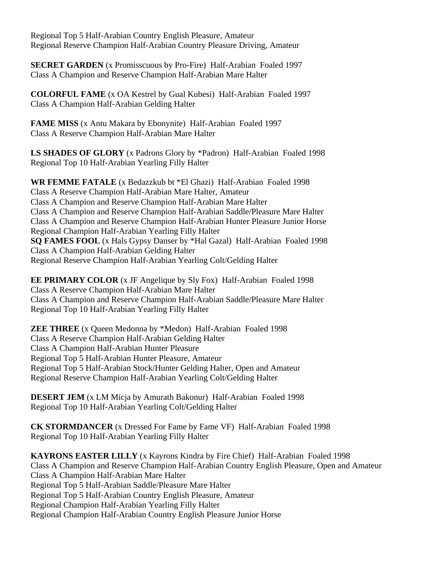Regional Top 5 Half-Arabian Country English Pleasure, Amateur Regional Reserve Champion Half-Arabian Country Pleasure Driving, Amateur

**SECRET GARDEN** (x Promisscuous by Pro-Fire) Half-Arabian Foaled 1997 Class A Champion and Reserve Champion Half-Arabian Mare Halter

**COLORFUL FAME** (x OA Kestrel by Gual Kubesi) Half-Arabian Foaled 1997 Class A Champion Half-Arabian Gelding Halter

**FAME MISS** (x Antu Makara by Ebonynite) Half-Arabian Foaled 1997 Class A Reserve Champion Half-Arabian Mare Halter

**LS SHADES OF GLORY** (x Padrons Glory by \*Padron) Half-Arabian Foaled 1998 Regional Top 10 Half-Arabian Yearling Filly Halter

**WR FEMME FATALE** (x Bedazzkub bt \*El Ghazi) Half-Arabian Foaled 1998 Class A Reserve Champion Half-Arabian Mare Halter, Amateur Class A Champion and Reserve Champion Half-Arabian Mare Halter Class A Champion and Reserve Champion Half-Arabian Saddle/Pleasure Mare Halter Class A Champion and Reserve Champion Half-Arabian Hunter Pleasure Junior Horse Regional Champion Half-Arabian Yearling Filly Halter **SQ FAMES FOOL** (x Hals Gypsy Danser by \*Hal Gazal) Half-Arabian Foaled 1998 Class A Champion Half-Arabian Gelding Halter Regional Reserve Champion Half-Arabian Yearling Colt/Gelding Halter

**EE PRIMARY COLOR** (x JF Angelique by Sly Fox) Half-Arabian Foaled 1998 Class A Reserve Champion Half-Arabian Mare Halter Class A Champion and Reserve Champion Half-Arabian Saddle/Pleasure Mare Halter Regional Top 10 Half-Arabian Yearling Filly Halter

**ZEE THREE** (x Queen Medonna by \*Medon) Half-Arabian Foaled 1998 Class A Reserve Champion Half-Arabian Gelding Halter Class A Champion Half-Arabian Hunter Pleasure Regional Top 5 Half-Arabian Hunter Pleasure, Amateur Regional Top 5 Half-Arabian Stock/Hunter Gelding Halter, Open and Amateur Regional Reserve Champion Half-Arabian Yearling Colt/Gelding Halter

**DESERT JEM** (x LM Micja by Amurath Bakonur) Half-Arabian Foaled 1998 Regional Top 10 Half-Arabian Yearling Colt/Gelding Halter

**CK STORMDANCER** (x Dressed For Fame by Fame VF) Half-Arabian Foaled 1998 Regional Top 10 Half-Arabian Yearling Filly Halter

**KAYRONS EASTER LILLY** (x Kayrons Kindra by Fire Chief) Half-Arabian Foaled 1998 Class A Champion and Reserve Champion Half-Arabian Country English Pleasure, Open and Amateur Class A Champion Half-Arabian Mare Halter Regional Top 5 Half-Arabian Saddle/Pleasure Mare Halter Regional Top 5 Half-Arabian Country English Pleasure, Amateur Regional Champion Half-Arabian Yearling Filly Halter Regional Champion Half-Arabian Country English Pleasure Junior Horse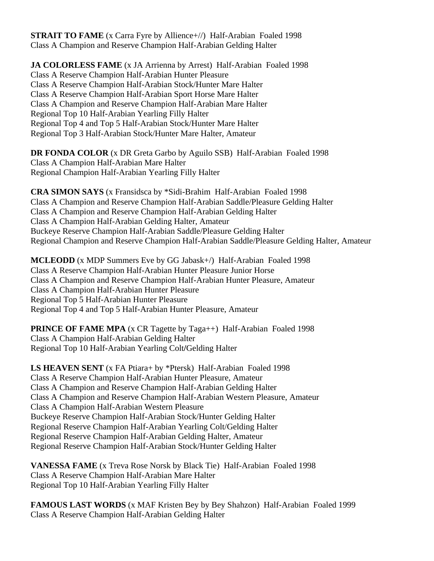**STRAIT TO FAME** (x Carra Fyre by Allience+//) Half-Arabian Foaled 1998 Class A Champion and Reserve Champion Half-Arabian Gelding Halter

**JA COLORLESS FAME** (x JA Arrienna by Arrest) Half-Arabian Foaled 1998 Class A Reserve Champion Half-Arabian Hunter Pleasure Class A Reserve Champion Half-Arabian Stock/Hunter Mare Halter Class A Reserve Champion Half-Arabian Sport Horse Mare Halter Class A Champion and Reserve Champion Half-Arabian Mare Halter Regional Top 10 Half-Arabian Yearling Filly Halter Regional Top 4 and Top 5 Half-Arabian Stock/Hunter Mare Halter Regional Top 3 Half-Arabian Stock/Hunter Mare Halter, Amateur

**DR FONDA COLOR** (x DR Greta Garbo by Aguilo SSB) Half-Arabian Foaled 1998 Class A Champion Half-Arabian Mare Halter Regional Champion Half-Arabian Yearling Filly Halter

**CRA SIMON SAYS** (x Fransidsca by \*Sidi-Brahim Half-Arabian Foaled 1998 Class A Champion and Reserve Champion Half-Arabian Saddle/Pleasure Gelding Halter Class A Champion and Reserve Champion Half-Arabian Gelding Halter Class A Champion Half-Arabian Gelding Halter, Amateur Buckeye Reserve Champion Half-Arabian Saddle/Pleasure Gelding Halter Regional Champion and Reserve Champion Half-Arabian Saddle/Pleasure Gelding Halter, Amateur

**MCLEODD** (x MDP Summers Eve by GG Jabask+/) Half-Arabian Foaled 1998 Class A Reserve Champion Half-Arabian Hunter Pleasure Junior Horse Class A Champion and Reserve Champion Half-Arabian Hunter Pleasure, Amateur Class A Champion Half-Arabian Hunter Pleasure Regional Top 5 Half-Arabian Hunter Pleasure Regional Top 4 and Top 5 Half-Arabian Hunter Pleasure, Amateur

**PRINCE OF FAME MPA** (x CR Tagette by Taga++) Half-Arabian Foaled 1998 Class A Champion Half-Arabian Gelding Halter Regional Top 10 Half-Arabian Yearling Colt**/**Gelding Halter

**LS HEAVEN SENT** (x FA Ptiara+ by \*Ptersk) Half-Arabian Foaled 1998 Class A Reserve Champion Half-Arabian Hunter Pleasure, Amateur Class A Champion and Reserve Champion Half-Arabian Gelding Halter Class A Champion and Reserve Champion Half-Arabian Western Pleasure, Amateur Class A Champion Half-Arabian Western Pleasure Buckeye Reserve Champion Half-Arabian Stock/Hunter Gelding Halter Regional Reserve Champion Half-Arabian Yearling Colt/Gelding Halter Regional Reserve Champion Half-Arabian Gelding Halter, Amateur Regional Reserve Champion Half-Arabian Stock/Hunter Gelding Halter

**VANESSA FAME** (x Treva Rose Norsk by Black Tie) Half-Arabian Foaled 1998 Class A Reserve Champion Half-Arabian Mare Halter Regional Top 10 Half-Arabian Yearling Filly Halter

**FAMOUS LAST WORDS** (x MAF Kristen Bey by Bey Shahzon) Half-Arabian Foaled 1999 Class A Reserve Champion Half-Arabian Gelding Halter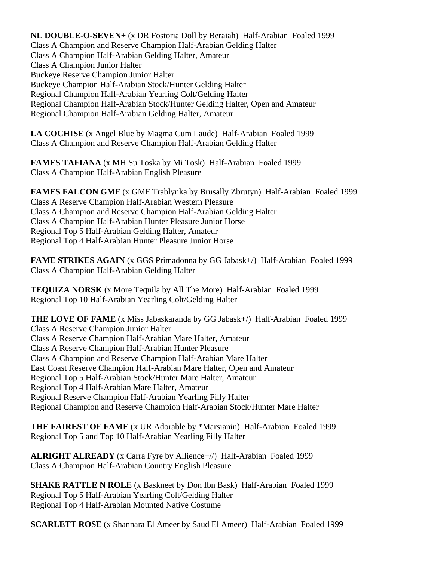**NL DOUBLE-O-SEVEN+** (x DR Fostoria Doll by Beraiah) Half-Arabian Foaled 1999 Class A Champion and Reserve Champion Half-Arabian Gelding Halter Class A Champion Half-Arabian Gelding Halter, Amateur Class A Champion Junior Halter Buckeye Reserve Champion Junior Halter Buckeye Champion Half-Arabian Stock/Hunter Gelding Halter Regional Champion Half-Arabian Yearling Colt/Gelding Halter Regional Champion Half-Arabian Stock/Hunter Gelding Halter, Open and Amateur Regional Champion Half-Arabian Gelding Halter, Amateur

**LA COCHISE** (x Angel Blue by Magma Cum Laude) Half-Arabian Foaled 1999 Class A Champion and Reserve Champion Half-Arabian Gelding Halter

**FAMES TAFIANA** (x MH Su Toska by Mi Tosk) Half-Arabian Foaled 1999 Class A Champion Half-Arabian English Pleasure

**FAMES FALCON GMF** (x GMF Trablynka by Brusally Zbrutyn) Half-Arabian Foaled 1999 Class A Reserve Champion Half-Arabian Western Pleasure Class A Champion and Reserve Champion Half-Arabian Gelding Halter Class A Champion Half-Arabian Hunter Pleasure Junior Horse Regional Top 5 Half-Arabian Gelding Halter, Amateur Regional Top 4 Half-Arabian Hunter Pleasure Junior Horse

**FAME STRIKES AGAIN** (x GGS Primadonna by GG Jabask+/) Half-Arabian Foaled 1999 Class A Champion Half-Arabian Gelding Halter

**TEQUIZA NORSK** (x More Tequila by All The More) Half-Arabian Foaled 1999 Regional Top 10 Half-Arabian Yearling Colt/Gelding Halter

**THE LOVE OF FAME** (x Miss Jabaskaranda by GG Jabask+/) Half-Arabian Foaled 1999 Class A Reserve Champion Junior Halter Class A Reserve Champion Half-Arabian Mare Halter, Amateur Class A Reserve Champion Half-Arabian Hunter Pleasure Class A Champion and Reserve Champion Half-Arabian Mare Halter East Coast Reserve Champion Half-Arabian Mare Halter, Open and Amateur Regional Top 5 Half-Arabian Stock/Hunter Mare Halter, Amateur Regional Top 4 Half-Arabian Mare Halter, Amateur Regional Reserve Champion Half-Arabian Yearling Filly Halter Regional Champion and Reserve Champion Half-Arabian Stock/Hunter Mare Halter

**THE FAIREST OF FAME** (x UR Adorable by \*Marsianin) Half-Arabian Foaled 1999 Regional Top 5 and Top 10 Half-Arabian Yearling Filly Halter

**ALRIGHT ALREADY** (x Carra Fyre by Allience+//) Half-Arabian Foaled 1999 Class A Champion Half-Arabian Country English Pleasure

**SHAKE RATTLE N ROLE** (x Baskneet by Don Ibn Bask) Half-Arabian Foaled 1999 Regional Top 5 Half-Arabian Yearling Colt/Gelding Halter Regional Top 4 Half-Arabian Mounted Native Costume

**SCARLETT ROSE** (x Shannara El Ameer by Saud El Ameer) Half-Arabian Foaled 1999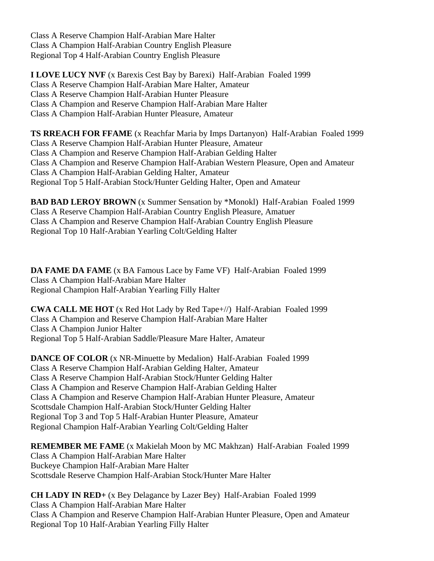Class A Reserve Champion Half-Arabian Mare Halter Class A Champion Half-Arabian Country English Pleasure Regional Top 4 Half-Arabian Country English Pleasure

**I LOVE LUCY NVF** (x Barexis Cest Bay by Barexi) Half-Arabian Foaled 1999 Class A Reserve Champion Half-Arabian Mare Halter, Amateur Class A Reserve Champion Half-Arabian Hunter Pleasure Class A Champion and Reserve Champion Half-Arabian Mare Halter Class A Champion Half-Arabian Hunter Pleasure, Amateur

**TS RREACH FOR FFAME** (x Reachfar Maria by Imps Dartanyon) Half-Arabian Foaled 1999 Class A Reserve Champion Half-Arabian Hunter Pleasure, Amateur Class A Champion and Reserve Champion Half-Arabian Gelding Halter Class A Champion and Reserve Champion Half-Arabian Western Pleasure, Open and Amateur Class A Champion Half-Arabian Gelding Halter, Amateur Regional Top 5 Half-Arabian Stock/Hunter Gelding Halter, Open and Amateur

**BAD BAD LEROY BROWN** (x Summer Sensation by \*Monokl) Half-Arabian Foaled 1999 Class A Reserve Champion Half-Arabian Country English Pleasure, Amatuer Class A Champion and Reserve Champion Half-Arabian Country English Pleasure Regional Top 10 Half-Arabian Yearling Colt/Gelding Halter

**DA FAME DA FAME** (x BA Famous Lace by Fame VF) Half-Arabian Foaled 1999 Class A Champion Half-Arabian Mare Halter Regional Champion Half-Arabian Yearling Filly Halter

**CWA CALL ME HOT** (x Red Hot Lady by Red Tape+//) Half-Arabian Foaled 1999 Class A Champion and Reserve Champion Half-Arabian Mare Halter Class A Champion Junior Halter Regional Top 5 Half-Arabian Saddle/Pleasure Mare Halter, Amateur

**DANCE OF COLOR** (x NR-Minuette by Medalion) Half-Arabian Foaled 1999 Class A Reserve Champion Half-Arabian Gelding Halter, Amateur Class A Reserve Champion Half-Arabian Stock/Hunter Gelding Halter Class A Champion and Reserve Champion Half-Arabian Gelding Halter Class A Champion and Reserve Champion Half-Arabian Hunter Pleasure, Amateur Scottsdale Champion Half-Arabian Stock/Hunter Gelding Halter Regional Top 3 and Top 5 Half-Arabian Hunter Pleasure, Amateur Regional Champion Half-Arabian Yearling Colt/Gelding Halter

**REMEMBER ME FAME** (x Makielah Moon by MC Makhzan) Half-Arabian Foaled 1999 Class A Champion Half-Arabian Mare Halter Buckeye Champion Half-Arabian Mare Halter Scottsdale Reserve Champion Half-Arabian Stock/Hunter Mare Halter

**CH LADY IN RED+** (x Bey Delagance by Lazer Bey) Half-Arabian Foaled 1999 Class A Champion Half-Arabian Mare Halter Class A Champion and Reserve Champion Half-Arabian Hunter Pleasure, Open and Amateur Regional Top 10 Half-Arabian Yearling Filly Halter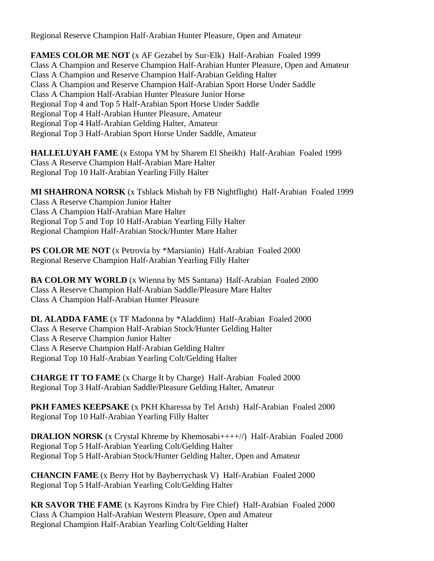Regional Reserve Champion Half-Arabian Hunter Pleasure, Open and Amateur

**FAMES COLOR ME NOT** (x AF Gezabel by Sur-Elk) Half-Arabian Foaled 1999 Class A Champion and Reserve Champion Half-Arabian Hunter Pleasure, Open and Amateur Class A Champion and Reserve Champion Half-Arabian Gelding Halter Class A Champion and Reserve Champion Half-Arabian Sport Horse Under Saddle Class A Champion Half-Arabian Hunter Pleasure Junior Horse Regional Top 4 and Top 5 Half-Arabian Sport Horse Under Saddle Regional Top 4 Half-Arabian Hunter Pleasure, Amateur Regional Top 4 Half-Arabian Gelding Halter, Amateur Regional Top 3 Half-Arabian Sport Horse Under Saddle, Amateur

**HALLELUYAH FAME** (x Estopa YM by Sharem El Sheikh) Half-Arabian Foaled 1999 Class A Reserve Champion Half-Arabian Mare Halter Regional Top 10 Half-Arabian Yearling Filly Halter

**MI SHAHRONA NORSK** (x Tsblack Mishah by FB Nightflight) Half-Arabian Foaled 1999 Class A Reserve Champion Junior Halter Class A Champion Half-Arabian Mare Halter Regional Top 5 and Top 10 Half-Arabian Yearling Filly Halter Regional Champion Half-Arabian Stock/Hunter Mare Halter

**PS COLOR ME NOT** (x Petrovia by \*Marsianin) Half-Arabian Foaled 2000 Regional Reserve Champion Half-Arabian Yearling Filly Halter

**BA COLOR MY WORLD** (x Wienna by MS Santana) Half-Arabian Foaled 2000 Class A Reserve Champion Half-Arabian Saddle/Pleasure Mare Halter Class A Champion Half-Arabian Hunter Pleasure

**DL ALADDA FAME** (x TF Madonna by \*Aladdinn) Half-Arabian Foaled 2000 Class A Reserve Champion Half-Arabian Stock/Hunter Gelding Halter Class A Reserve Champion Junior Halter Class A Reserve Champion Half-Arabian Gelding Halter Regional Top 10 Half-Arabian Yearling Colt/Gelding Halter

**CHARGE IT TO FAME** (x Charge It by Charge) Half-Arabian Foaled 2000 Regional Top 3 Half-Arabian Saddle/Pleasure Gelding Halter, Amateur

**PKH FAMES KEEPSAKE** (x PKH Kharessa by Tel Arish) Half-Arabian Foaled 2000 Regional Top 10 Half-Arabian Yearling Filly Halter

**DRALION NORSK** (x Crystal Khreme by Khemosabi++++//) Half-Arabian Foaled 2000 Regional Top 5 Half-Arabian Yearling Colt/Gelding Halter Regional Top 5 Half-Arabian Stock/Hunter Gelding Halter, Open and Amateur

**CHANCIN FAME** (x Berry Hot by Bayberrychask V) Half-Arabian Foaled 2000 Regional Top 5 Half-Arabian Yearling Colt/Gelding Halter

**KR SAVOR THE FAME** (x Kayrons Kindra by Fire Chief) Half-Arabian Foaled 2000 Class A Champion Half-Arabian Western Pleasure, Open and Amateur Regional Champion Half-Arabian Yearling Colt/Gelding Halter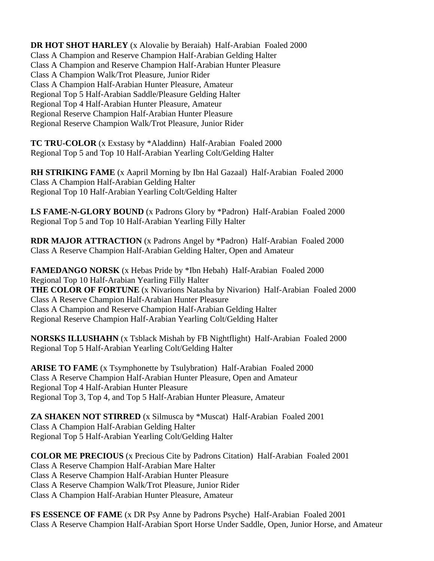**DR HOT SHOT HARLEY** (x Alovalie by Beraiah) Half-Arabian Foaled 2000 Class A Champion and Reserve Champion Half-Arabian Gelding Halter Class A Champion and Reserve Champion Half-Arabian Hunter Pleasure Class A Champion Walk/Trot Pleasure, Junior Rider Class A Champion Half-Arabian Hunter Pleasure, Amateur Regional Top 5 Half-Arabian Saddle/Pleasure Gelding Halter Regional Top 4 Half-Arabian Hunter Pleasure, Amateur Regional Reserve Champion Half-Arabian Hunter Pleasure Regional Reserve Champion Walk/Trot Pleasure, Junior Rider

**TC TRU-COLOR** (x Exstasy by \*Aladdinn) Half-Arabian Foaled 2000 Regional Top 5 and Top 10 Half-Arabian Yearling Colt/Gelding Halter

**RH STRIKING FAME** (x Aapril Morning by Ibn Hal Gazaal) Half-Arabian Foaled 2000 Class A Champion Half-Arabian Gelding Halter Regional Top 10 Half-Arabian Yearling Colt/Gelding Halter

**LS FAME-N-GLORY BOUND** (x Padrons Glory by \*Padron) Half-Arabian Foaled 2000 Regional Top 5 and Top 10 Half-Arabian Yearling Filly Halter

**RDR MAJOR ATTRACTION** (x Padrons Angel by \*Padron) Half-Arabian Foaled 2000 Class A Reserve Champion Half-Arabian Gelding Halter, Open and Amateur

**FAMEDANGO NORSK** (x Hebas Pride by \*Ibn Hebah) Half-Arabian Foaled 2000 Regional Top 10 Half-Arabian Yearling Filly Halter **THE COLOR OF FORTUNE** (x Nivarions Natasha by Nivarion) Half-Arabian Foaled 2000 Class A Reserve Champion Half-Arabian Hunter Pleasure Class A Champion and Reserve Champion Half-Arabian Gelding Halter Regional Reserve Champion Half-Arabian Yearling Colt/Gelding Halter

**NORSKS ILLUSHAHN** (x Tsblack Mishah by FB Nightflight) Half-Arabian Foaled 2000 Regional Top 5 Half-Arabian Yearling Colt/Gelding Halter

**ARISE TO FAME** (x Tsymphonette by Tsulybration) Half-Arabian Foaled 2000 Class A Reserve Champion Half-Arabian Hunter Pleasure, Open and Amateur Regional Top 4 Half-Arabian Hunter Pleasure Regional Top 3, Top 4, and Top 5 Half-Arabian Hunter Pleasure, Amateur

**ZA SHAKEN NOT STIRRED** (x Silmusca by \*Muscat) Half-Arabian Foaled 2001 Class A Champion Half-Arabian Gelding Halter Regional Top 5 Half-Arabian Yearling Colt/Gelding Halter

**COLOR ME PRECIOUS** (x Precious Cite by Padrons Citation) Half-Arabian Foaled 2001 Class A Reserve Champion Half-Arabian Mare Halter Class A Reserve Champion Half-Arabian Hunter Pleasure Class A Reserve Champion Walk/Trot Pleasure, Junior Rider Class A Champion Half-Arabian Hunter Pleasure, Amateur

**FS ESSENCE OF FAME** (x DR Psy Anne by Padrons Psyche) Half-Arabian Foaled 2001 Class A Reserve Champion Half-Arabian Sport Horse Under Saddle, Open, Junior Horse, and Amateur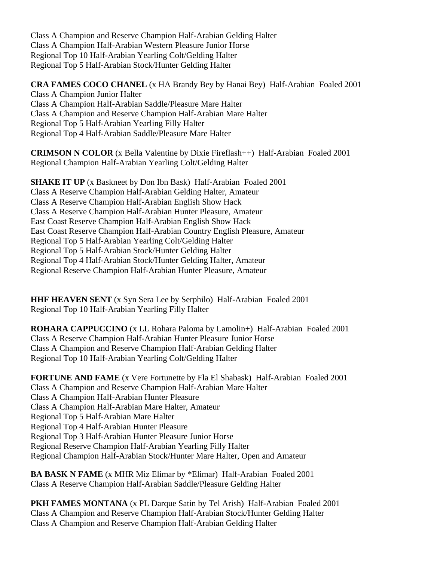Class A Champion and Reserve Champion Half-Arabian Gelding Halter Class A Champion Half-Arabian Western Pleasure Junior Horse Regional Top 10 Half-Arabian Yearling Colt/Gelding Halter Regional Top 5 Half-Arabian Stock/Hunter Gelding Halter

**CRA FAMES COCO CHANEL** (x HA Brandy Bey by Hanai Bey) Half-Arabian Foaled 2001 Class A Champion Junior Halter Class A Champion Half-Arabian Saddle/Pleasure Mare Halter Class A Champion and Reserve Champion Half-Arabian Mare Halter Regional Top 5 Half-Arabian Yearling Filly Halter Regional Top 4 Half-Arabian Saddle/Pleasure Mare Halter

**CRIMSON N COLOR** (x Bella Valentine by Dixie Fireflash++) Half-Arabian Foaled 2001 Regional Champion Half-Arabian Yearling Colt/Gelding Halter

**SHAKE IT UP** (x Baskneet by Don Ibn Bask) Half-Arabian Foaled 2001 Class A Reserve Champion Half-Arabian Gelding Halter, Amateur Class A Reserve Champion Half-Arabian English Show Hack Class A Reserve Champion Half-Arabian Hunter Pleasure, Amateur East Coast Reserve Champion Half-Arabian English Show Hack East Coast Reserve Champion Half-Arabian Country English Pleasure, Amateur Regional Top 5 Half-Arabian Yearling Colt/Gelding Halter Regional Top 5 Half-Arabian Stock/Hunter Gelding Halter Regional Top 4 Half-Arabian Stock/Hunter Gelding Halter, Amateur Regional Reserve Champion Half-Arabian Hunter Pleasure, Amateur

**HHF HEAVEN SENT** (x Syn Sera Lee by Serphilo) Half-Arabian Foaled 2001 Regional Top 10 Half-Arabian Yearling Filly Halter

**ROHARA CAPPUCCINO** (x LL Rohara Paloma by Lamolin+) Half-Arabian Foaled 2001 Class A Reserve Champion Half-Arabian Hunter Pleasure Junior Horse Class A Champion and Reserve Champion Half-Arabian Gelding Halter Regional Top 10 Half-Arabian Yearling Colt/Gelding Halter

**FORTUNE AND FAME** (x Vere Fortunette by Fla El Shabask) Half-Arabian Foaled 2001 Class A Champion and Reserve Champion Half-Arabian Mare Halter Class A Champion Half-Arabian Hunter Pleasure Class A Champion Half-Arabian Mare Halter, Amateur Regional Top 5 Half-Arabian Mare Halter Regional Top 4 Half-Arabian Hunter Pleasure Regional Top 3 Half-Arabian Hunter Pleasure Junior Horse Regional Reserve Champion Half-Arabian Yearling Filly Halter Regional Champion Half-Arabian Stock/Hunter Mare Halter, Open and Amateur

**BA BASK N FAME** (x MHR Miz Elimar by \*Elimar) Half-Arabian Foaled 2001 Class A Reserve Champion Half-Arabian Saddle/Pleasure Gelding Halter

**PKH FAMES MONTANA** (x PL Darque Satin by Tel Arish) Half-Arabian Foaled 2001 Class A Champion and Reserve Champion Half-Arabian Stock/Hunter Gelding Halter Class A Champion and Reserve Champion Half-Arabian Gelding Halter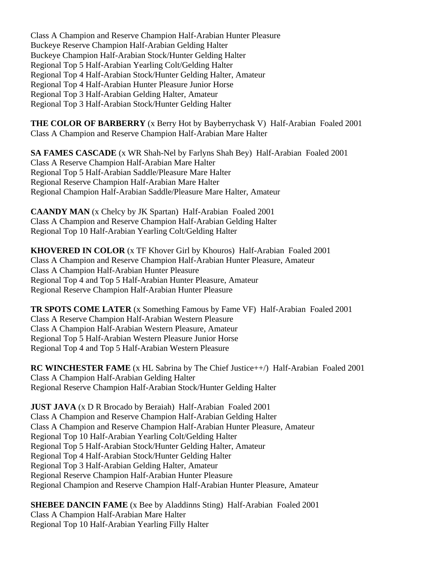Class A Champion and Reserve Champion Half-Arabian Hunter Pleasure Buckeye Reserve Champion Half-Arabian Gelding Halter Buckeye Champion Half-Arabian Stock/Hunter Gelding Halter Regional Top 5 Half-Arabian Yearling Colt/Gelding Halter Regional Top 4 Half-Arabian Stock/Hunter Gelding Halter, Amateur Regional Top 4 Half-Arabian Hunter Pleasure Junior Horse Regional Top 3 Half-Arabian Gelding Halter, Amateur Regional Top 3 Half-Arabian Stock/Hunter Gelding Halter

**THE COLOR OF BARBERRY** (x Berry Hot by Bayberrychask V) Half-Arabian Foaled 2001 Class A Champion and Reserve Champion Half-Arabian Mare Halter

**SA FAMES CASCADE** (x WR Shah-Nel by Farlyns Shah Bey) Half-Arabian Foaled 2001 Class A Reserve Champion Half-Arabian Mare Halter Regional Top 5 Half-Arabian Saddle/Pleasure Mare Halter Regional Reserve Champion Half-Arabian Mare Halter Regional Champion Half-Arabian Saddle/Pleasure Mare Halter, Amateur

**CAANDY MAN** (x Chelcy by JK Spartan) Half-Arabian Foaled 2001 Class A Champion and Reserve Champion Half-Arabian Gelding Halter Regional Top 10 Half-Arabian Yearling Colt/Gelding Halter

**KHOVERED IN COLOR** (x TF Khover Girl by Khouros) Half-Arabian Foaled 2001 Class A Champion and Reserve Champion Half-Arabian Hunter Pleasure, Amateur Class A Champion Half-Arabian Hunter Pleasure Regional Top 4 and Top 5 Half-Arabian Hunter Pleasure, Amateur Regional Reserve Champion Half-Arabian Hunter Pleasure

**TR SPOTS COME LATER** (x Something Famous by Fame VF) Half-Arabian Foaled 2001 Class A Reserve Champion Half-Arabian Western Pleasure Class A Champion Half-Arabian Western Pleasure, Amateur Regional Top 5 Half-Arabian Western Pleasure Junior Horse Regional Top 4 and Top 5 Half-Arabian Western Pleasure

**RC WINCHESTER FAME** (x HL Sabrina by The Chief Justice++/) Half-Arabian Foaled 2001 Class A Champion Half-Arabian Gelding Halter Regional Reserve Champion Half-Arabian Stock/Hunter Gelding Halter

**JUST JAVA** (x D R Brocado by Beraiah) Half-Arabian Foaled 2001 Class A Champion and Reserve Champion Half-Arabian Gelding Halter Class A Champion and Reserve Champion Half-Arabian Hunter Pleasure, Amateur Regional Top 10 Half-Arabian Yearling Colt/Gelding Halter Regional Top 5 Half-Arabian Stock/Hunter Gelding Halter, Amateur Regional Top 4 Half-Arabian Stock/Hunter Gelding Halter Regional Top 3 Half-Arabian Gelding Halter, Amateur Regional Reserve Champion Half-Arabian Hunter Pleasure Regional Champion and Reserve Champion Half-Arabian Hunter Pleasure, Amateur

**SHEBEE DANCIN FAME** (x Bee by Aladdinns Sting) Half-Arabian Foaled 2001 Class A Champion Half-Arabian Mare Halter Regional Top 10 Half-Arabian Yearling Filly Halter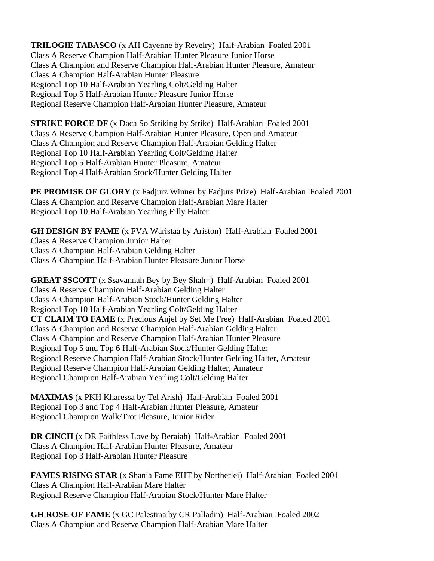**TRILOGIE TABASCO** (x AH Cayenne by Revelry) Half-Arabian Foaled 2001 Class A Reserve Champion Half-Arabian Hunter Pleasure Junior Horse Class A Champion and Reserve Champion Half-Arabian Hunter Pleasure, Amateur Class A Champion Half-Arabian Hunter Pleasure Regional Top 10 Half-Arabian Yearling Colt/Gelding Halter Regional Top 5 Half-Arabian Hunter Pleasure Junior Horse Regional Reserve Champion Half-Arabian Hunter Pleasure, Amateur

**STRIKE FORCE DF** (x Daca So Striking by Strike) Half-Arabian Foaled 2001 Class A Reserve Champion Half-Arabian Hunter Pleasure, Open and Amateur Class A Champion and Reserve Champion Half-Arabian Gelding Halter Regional Top 10 Half-Arabian Yearling Colt/Gelding Halter Regional Top 5 Half-Arabian Hunter Pleasure, Amateur Regional Top 4 Half-Arabian Stock/Hunter Gelding Halter

**PE PROMISE OF GLORY** (x Fadjurz Winner by Fadjurs Prize) Half-Arabian Foaled 2001 Class A Champion and Reserve Champion Half-Arabian Mare Halter Regional Top 10 Half-Arabian Yearling Filly Halter

**GH DESIGN BY FAME** (x FVA Waristaa by Ariston) Half-Arabian Foaled 2001 Class A Reserve Champion Junior Halter Class A Champion Half-Arabian Gelding Halter Class A Champion Half-Arabian Hunter Pleasure Junior Horse

**GREAT SSCOTT** (x Ssavannah Bey by Bey Shah+) Half-Arabian Foaled 2001 Class A Reserve Champion Half-Arabian Gelding Halter Class A Champion Half-Arabian Stock/Hunter Gelding Halter Regional Top 10 Half-Arabian Yearling Colt/Gelding Halter **CT CLAIM TO FAME** (x Precious Anjel by Set Me Free) Half-Arabian Foaled 2001 Class A Champion and Reserve Champion Half-Arabian Gelding Halter Class A Champion and Reserve Champion Half-Arabian Hunter Pleasure Regional Top 5 and Top 6 Half-Arabian Stock/Hunter Gelding Halter Regional Reserve Champion Half-Arabian Stock/Hunter Gelding Halter, Amateur Regional Reserve Champion Half-Arabian Gelding Halter, Amateur Regional Champion Half-Arabian Yearling Colt/Gelding Halter

**MAXIMAS** (x PKH Kharessa by Tel Arish) Half-Arabian Foaled 2001 Regional Top 3 and Top 4 Half-Arabian Hunter Pleasure, Amateur Regional Champion Walk/Trot Pleasure, Junior Rider

**DR CINCH** (x DR Faithless Love by Beraiah) Half-Arabian Foaled 2001 Class A Champion Half-Arabian Hunter Pleasure, Amateur Regional Top 3 Half-Arabian Hunter Pleasure

**FAMES RISING STAR** (x Shania Fame EHT by Northerlei) Half-Arabian Foaled 2001 Class A Champion Half-Arabian Mare Halter Regional Reserve Champion Half-Arabian Stock/Hunter Mare Halter

**GH ROSE OF FAME** (x GC Palestina by CR Palladin) Half-Arabian Foaled 2002 Class A Champion and Reserve Champion Half-Arabian Mare Halter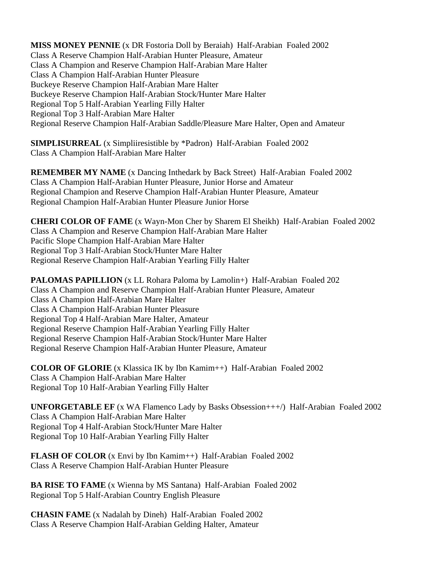**MISS MONEY PENNIE** (x DR Fostoria Doll by Beraiah) Half-Arabian Foaled 2002 Class A Reserve Champion Half-Arabian Hunter Pleasure, Amateur Class A Champion and Reserve Champion Half-Arabian Mare Halter Class A Champion Half-Arabian Hunter Pleasure Buckeye Reserve Champion Half-Arabian Mare Halter Buckeye Reserve Champion Half-Arabian Stock/Hunter Mare Halter Regional Top 5 Half-Arabian Yearling Filly Halter Regional Top 3 Half-Arabian Mare Halter Regional Reserve Champion Half-Arabian Saddle/Pleasure Mare Halter, Open and Amateur

**SIMPLISURREAL** (x Simpliiresistible by \*Padron) Half-Arabian Foaled 2002 Class A Champion Half-Arabian Mare Halter

**REMEMBER MY NAME** (x Dancing Inthedark by Back Street) Half-Arabian Foaled 2002 Class A Champion Half-Arabian Hunter Pleasure, Junior Horse and Amateur Regional Champion and Reserve Champion Half-Arabian Hunter Pleasure, Amateur Regional Champion Half-Arabian Hunter Pleasure Junior Horse

**CHERI COLOR OF FAME** (x Wayn-Mon Cher by Sharem El Sheikh) Half-Arabian Foaled 2002 Class A Champion and Reserve Champion Half-Arabian Mare Halter Pacific Slope Champion Half-Arabian Mare Halter Regional Top 3 Half-Arabian Stock/Hunter Mare Halter Regional Reserve Champion Half-Arabian Yearling Filly Halter

**PALOMAS PAPILLION** (x LL Rohara Paloma by Lamolin+) Half-Arabian Foaled 202 Class A Champion and Reserve Champion Half-Arabian Hunter Pleasure, Amateur Class A Champion Half-Arabian Mare Halter Class A Champion Half-Arabian Hunter Pleasure Regional Top 4 Half-Arabian Mare Halter, Amateur Regional Reserve Champion Half-Arabian Yearling Filly Halter Regional Reserve Champion Half-Arabian Stock/Hunter Mare Halter Regional Reserve Champion Half-Arabian Hunter Pleasure, Amateur

**COLOR OF GLORIE** (x Klassica IK by Ibn Kamim++) Half-Arabian Foaled 2002 Class A Champion Half-Arabian Mare Halter Regional Top 10 Half-Arabian Yearling Filly Halter

**UNFORGETABLE EF** (x WA Flamenco Lady by Basks Obsession+++/) Half-Arabian Foaled 2002 Class A Champion Half-Arabian Mare Halter Regional Top 4 Half-Arabian Stock/Hunter Mare Halter Regional Top 10 Half-Arabian Yearling Filly Halter

**FLASH OF COLOR** (x Envi by Ibn Kamim++) Half-Arabian Foaled 2002 Class A Reserve Champion Half-Arabian Hunter Pleasure

**BA RISE TO FAME** (x Wienna by MS Santana) Half-Arabian Foaled 2002 Regional Top 5 Half-Arabian Country English Pleasure

**CHASIN FAME** (x Nadalah by Dineh) Half-Arabian Foaled 2002 Class A Reserve Champion Half-Arabian Gelding Halter, Amateur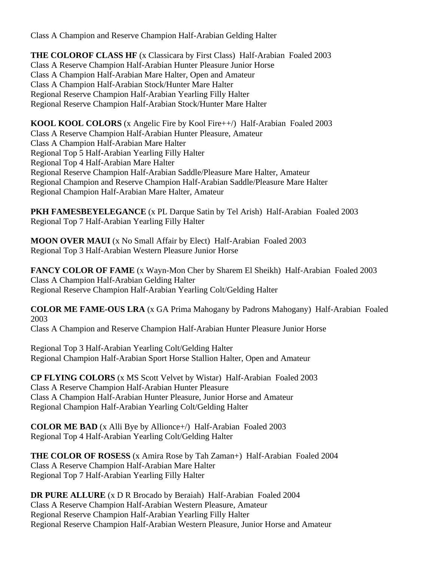Class A Champion and Reserve Champion Half-Arabian Gelding Halter

**THE COLOROF CLASS HF** (x Classicara by First Class) Half-Arabian Foaled 2003 Class A Reserve Champion Half-Arabian Hunter Pleasure Junior Horse Class A Champion Half-Arabian Mare Halter, Open and Amateur Class A Champion Half-Arabian Stock/Hunter Mare Halter Regional Reserve Champion Half-Arabian Yearling Filly Halter Regional Reserve Champion Half-Arabian Stock/Hunter Mare Halter

**KOOL KOOL COLORS** (x Angelic Fire by Kool Fire++/) Half-Arabian Foaled 2003 Class A Reserve Champion Half-Arabian Hunter Pleasure, Amateur Class A Champion Half-Arabian Mare Halter Regional Top 5 Half-Arabian Yearling Filly Halter Regional Top 4 Half-Arabian Mare Halter Regional Reserve Champion Half-Arabian Saddle/Pleasure Mare Halter, Amateur Regional Champion and Reserve Champion Half-Arabian Saddle/Pleasure Mare Halter Regional Champion Half-Arabian Mare Halter, Amateur

**PKH FAMESBEYELEGANCE** (x PL Darque Satin by Tel Arish) Half-Arabian Foaled 2003 Regional Top 7 Half-Arabian Yearling Filly Halter

**MOON OVER MAUI** (x No Small Affair by Elect) Half-Arabian Foaled 2003 Regional Top 3 Half-Arabian Western Pleasure Junior Horse

**FANCY COLOR OF FAME** (x Wayn-Mon Cher by Sharem El Sheikh) Half-Arabian Foaled 2003 Class A Champion Half-Arabian Gelding Halter Regional Reserve Champion Half-Arabian Yearling Colt/Gelding Halter

**COLOR ME FAME-OUS LRA** (x GA Prima Mahogany by Padrons Mahogany) Half-Arabian Foaled 2003

Class A Champion and Reserve Champion Half-Arabian Hunter Pleasure Junior Horse

Regional Top 3 Half-Arabian Yearling Colt/Gelding Halter Regional Champion Half-Arabian Sport Horse Stallion Halter, Open and Amateur

**CP FLYING COLORS** (x MS Scott Velvet by Wistar) Half-Arabian Foaled 2003 Class A Reserve Champion Half-Arabian Hunter Pleasure Class A Champion Half-Arabian Hunter Pleasure, Junior Horse and Amateur Regional Champion Half-Arabian Yearling Colt/Gelding Halter

**COLOR ME BAD** (x Alli Bye by Allionce+/) Half-Arabian Foaled 2003 Regional Top 4 Half-Arabian Yearling Colt/Gelding Halter

**THE COLOR OF ROSESS** (x Amira Rose by Tah Zaman+) Half-Arabian Foaled 2004 Class A Reserve Champion Half-Arabian Mare Halter Regional Top 7 Half-Arabian Yearling Filly Halter

**DR PURE ALLURE** (x D R Brocado by Beraiah) Half-Arabian Foaled 2004 Class A Reserve Champion Half-Arabian Western Pleasure, Amateur Regional Reserve Champion Half-Arabian Yearling Filly Halter Regional Reserve Champion Half-Arabian Western Pleasure, Junior Horse and Amateur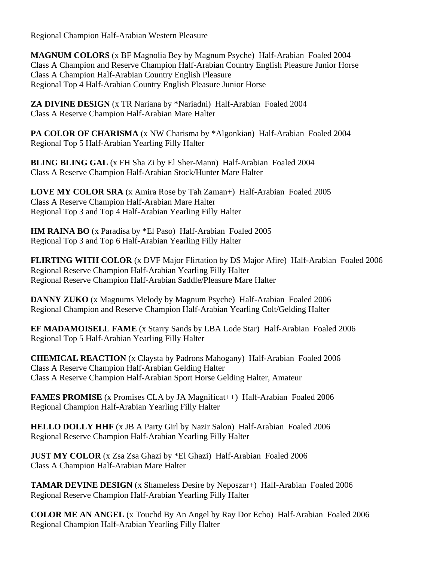Regional Champion Half-Arabian Western Pleasure

**MAGNUM COLORS** (x BF Magnolia Bey by Magnum Psyche) Half-Arabian Foaled 2004 Class A Champion and Reserve Champion Half-Arabian Country English Pleasure Junior Horse Class A Champion Half-Arabian Country English Pleasure Regional Top 4 Half-Arabian Country English Pleasure Junior Horse

**ZA DIVINE DESIGN** (x TR Nariana by \*Nariadni) Half-Arabian Foaled 2004 Class A Reserve Champion Half-Arabian Mare Halter

**PA COLOR OF CHARISMA** (x NW Charisma by \*Algonkian) Half-Arabian Foaled 2004 Regional Top 5 Half-Arabian Yearling Filly Halter

**BLING BLING GAL** (x FH Sha Zi by El Sher-Mann) Half-Arabian Foaled 2004 Class A Reserve Champion Half-Arabian Stock/Hunter Mare Halter

**LOVE MY COLOR SRA** (x Amira Rose by Tah Zaman+) Half-Arabian Foaled 2005 Class A Reserve Champion Half-Arabian Mare Halter Regional Top 3 and Top 4 Half-Arabian Yearling Filly Halter

**HM RAINA BO** (x Paradisa by \*El Paso) Half-Arabian Foaled 2005 Regional Top 3 and Top 6 Half-Arabian Yearling Filly Halter

**FLIRTING WITH COLOR** (x DVF Major Flirtation by DS Major Afire) Half-Arabian Foaled 2006 Regional Reserve Champion Half-Arabian Yearling Filly Halter Regional Reserve Champion Half-Arabian Saddle/Pleasure Mare Halter

**DANNY ZUKO** (x Magnums Melody by Magnum Psyche) Half-Arabian Foaled 2006 Regional Champion and Reserve Champion Half-Arabian Yearling Colt/Gelding Halter

**EF MADAMOISELL FAME** (x Starry Sands by LBA Lode Star) Half-Arabian Foaled 2006 Regional Top 5 Half-Arabian Yearling Filly Halter

**CHEMICAL REACTION** (x Claysta by Padrons Mahogany) Half-Arabian Foaled 2006 Class A Reserve Champion Half-Arabian Gelding Halter Class A Reserve Champion Half-Arabian Sport Horse Gelding Halter, Amateur

**FAMES PROMISE** (x Promises CLA by JA Magnificat++) Half-Arabian Foaled 2006 Regional Champion Half-Arabian Yearling Filly Halter

**HELLO DOLLY HHF** (x JB A Party Girl by Nazir Salon) Half-Arabian Foaled 2006 Regional Reserve Champion Half-Arabian Yearling Filly Halter

**JUST MY COLOR** (x Zsa Zsa Ghazi by \*El Ghazi) Half-Arabian Foaled 2006 Class A Champion Half-Arabian Mare Halter

**TAMAR DEVINE DESIGN** (x Shameless Desire by Neposzar+) Half-Arabian Foaled 2006 Regional Reserve Champion Half-Arabian Yearling Filly Halter

**COLOR ME AN ANGEL** (x Touchd By An Angel by Ray Dor Echo) Half-Arabian Foaled 2006 Regional Champion Half-Arabian Yearling Filly Halter